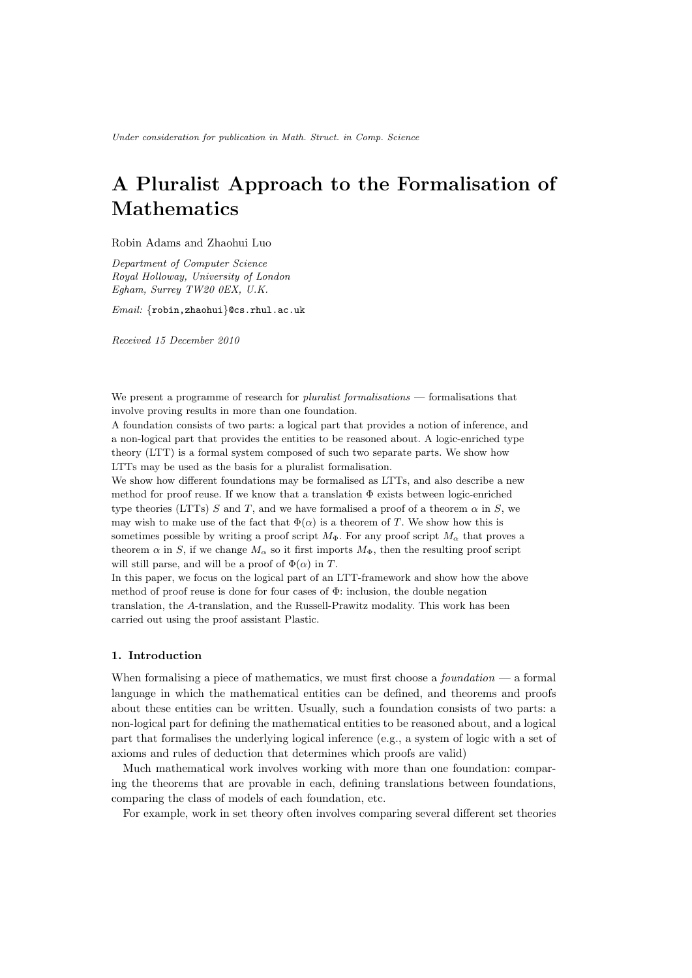# A Pluralist Approach to the Formalisation of Mathematics

Robin Adams and Zhaohui Luo

Department of Computer Science Royal Holloway, University of London Egham, Surrey TW20 0EX, U.K.

Email: {robin,zhaohui}@cs.rhul.ac.uk

Received 15 December 2010

We present a programme of research for *pluralist formalisations* — formalisations that involve proving results in more than one foundation.

A foundation consists of two parts: a logical part that provides a notion of inference, and a non-logical part that provides the entities to be reasoned about. A logic-enriched type theory (LTT) is a formal system composed of such two separate parts. We show how LTTs may be used as the basis for a pluralist formalisation.

We show how different foundations may be formalised as LTTs, and also describe a new method for proof reuse. If we know that a translation  $\Phi$  exists between logic-enriched type theories (LTTs) S and T, and we have formalised a proof of a theorem  $\alpha$  in S, we may wish to make use of the fact that  $\Phi(\alpha)$  is a theorem of T. We show how this is sometimes possible by writing a proof script  $M_{\Phi}$ . For any proof script  $M_{\alpha}$  that proves a theorem  $\alpha$  in S, if we change  $M_{\alpha}$  so it first imports  $M_{\Phi}$ , then the resulting proof script will still parse, and will be a proof of  $\Phi(\alpha)$  in T.

In this paper, we focus on the logical part of an LTT-framework and show how the above method of proof reuse is done for four cases of Φ: inclusion, the double negation translation, the A-translation, and the Russell-Prawitz modality. This work has been carried out using the proof assistant Plastic.

# 1. Introduction

When formalising a piece of mathematics, we must first choose a *foundation* — a formal language in which the mathematical entities can be defined, and theorems and proofs about these entities can be written. Usually, such a foundation consists of two parts: a non-logical part for defining the mathematical entities to be reasoned about, and a logical part that formalises the underlying logical inference (e.g., a system of logic with a set of axioms and rules of deduction that determines which proofs are valid)

Much mathematical work involves working with more than one foundation: comparing the theorems that are provable in each, defining translations between foundations, comparing the class of models of each foundation, etc.

For example, work in set theory often involves comparing several different set theories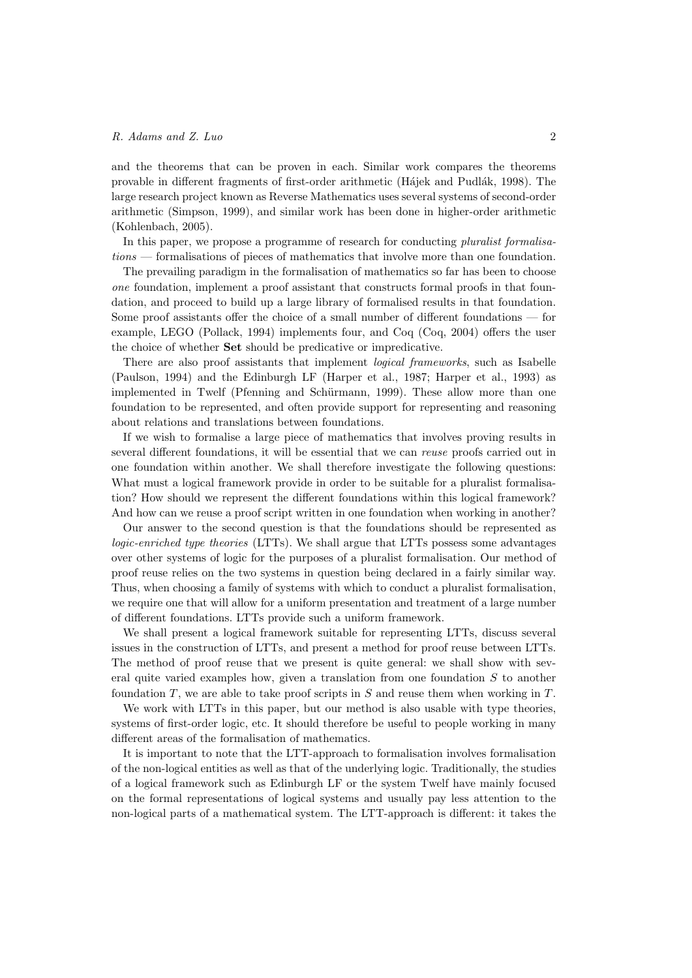and the theorems that can be proven in each. Similar work compares the theorems provable in different fragments of first-order arithmetic (Hájek and Pudlák, 1998). The large research project known as Reverse Mathematics uses several systems of second-order arithmetic (Simpson, 1999), and similar work has been done in higher-order arithmetic (Kohlenbach, 2005).

In this paper, we propose a programme of research for conducting pluralist formalisations — formalisations of pieces of mathematics that involve more than one foundation.

The prevailing paradigm in the formalisation of mathematics so far has been to choose one foundation, implement a proof assistant that constructs formal proofs in that foundation, and proceed to build up a large library of formalised results in that foundation. Some proof assistants offer the choice of a small number of different foundations — for example, LEGO (Pollack, 1994) implements four, and Coq (Coq, 2004) offers the user the choice of whether Set should be predicative or impredicative.

There are also proof assistants that implement *logical frameworks*, such as Isabelle (Paulson, 1994) and the Edinburgh LF (Harper et al., 1987; Harper et al., 1993) as implemented in Twelf (Pfenning and Schürmann, 1999). These allow more than one foundation to be represented, and often provide support for representing and reasoning about relations and translations between foundations.

If we wish to formalise a large piece of mathematics that involves proving results in several different foundations, it will be essential that we can reuse proofs carried out in one foundation within another. We shall therefore investigate the following questions: What must a logical framework provide in order to be suitable for a pluralist formalisation? How should we represent the different foundations within this logical framework? And how can we reuse a proof script written in one foundation when working in another?

Our answer to the second question is that the foundations should be represented as logic-enriched type theories (LTTs). We shall argue that LTTs possess some advantages over other systems of logic for the purposes of a pluralist formalisation. Our method of proof reuse relies on the two systems in question being declared in a fairly similar way. Thus, when choosing a family of systems with which to conduct a pluralist formalisation, we require one that will allow for a uniform presentation and treatment of a large number of different foundations. LTTs provide such a uniform framework.

We shall present a logical framework suitable for representing LTTs, discuss several issues in the construction of LTTs, and present a method for proof reuse between LTTs. The method of proof reuse that we present is quite general: we shall show with several quite varied examples how, given a translation from one foundation  $S$  to another foundation  $T$ , we are able to take proof scripts in  $S$  and reuse them when working in  $T$ .

We work with LTTs in this paper, but our method is also usable with type theories, systems of first-order logic, etc. It should therefore be useful to people working in many different areas of the formalisation of mathematics.

It is important to note that the LTT-approach to formalisation involves formalisation of the non-logical entities as well as that of the underlying logic. Traditionally, the studies of a logical framework such as Edinburgh LF or the system Twelf have mainly focused on the formal representations of logical systems and usually pay less attention to the non-logical parts of a mathematical system. The LTT-approach is different: it takes the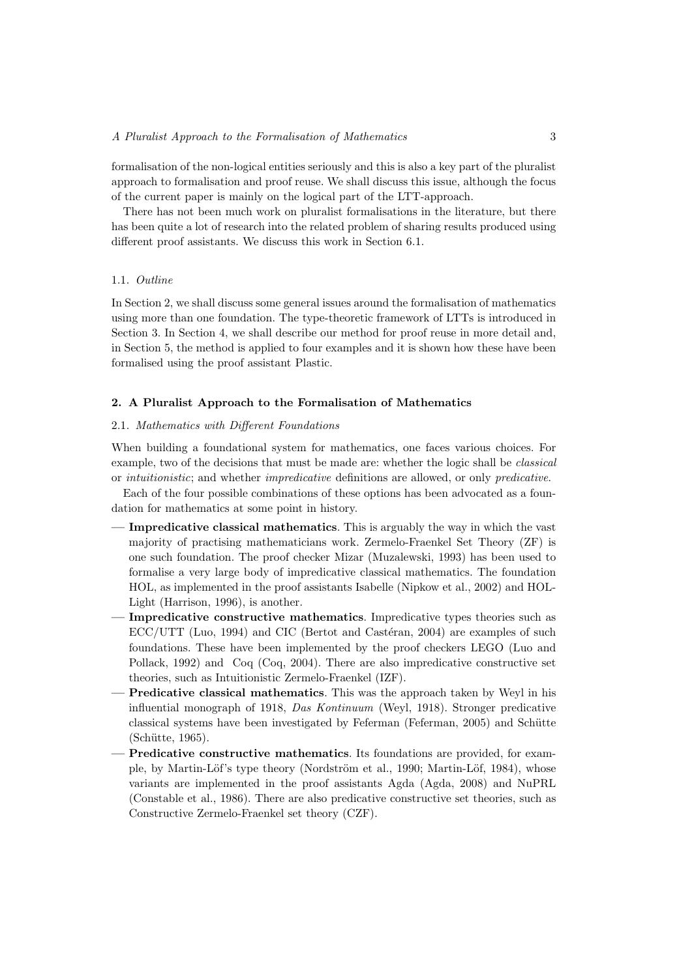formalisation of the non-logical entities seriously and this is also a key part of the pluralist approach to formalisation and proof reuse. We shall discuss this issue, although the focus of the current paper is mainly on the logical part of the LTT-approach.

There has not been much work on pluralist formalisations in the literature, but there has been quite a lot of research into the related problem of sharing results produced using different proof assistants. We discuss this work in Section 6.1.

## 1.1. Outline

In Section 2, we shall discuss some general issues around the formalisation of mathematics using more than one foundation. The type-theoretic framework of LTTs is introduced in Section 3. In Section 4, we shall describe our method for proof reuse in more detail and, in Section 5, the method is applied to four examples and it is shown how these have been formalised using the proof assistant Plastic.

## 2. A Pluralist Approach to the Formalisation of Mathematics

## 2.1. Mathematics with Different Foundations

When building a foundational system for mathematics, one faces various choices. For example, two of the decisions that must be made are: whether the logic shall be classical or intuitionistic; and whether impredicative definitions are allowed, or only predicative.

Each of the four possible combinations of these options has been advocated as a foundation for mathematics at some point in history.

- Impredicative classical mathematics. This is arguably the way in which the vast majority of practising mathematicians work. Zermelo-Fraenkel Set Theory (ZF) is one such foundation. The proof checker Mizar (Muzalewski, 1993) has been used to formalise a very large body of impredicative classical mathematics. The foundation HOL, as implemented in the proof assistants Isabelle (Nipkow et al., 2002) and HOL-Light (Harrison, 1996), is another.
- Impredicative constructive mathematics. Impredicative types theories such as  $ECC/UTT$  (Luo, 1994) and CIC (Bertot and Castéran, 2004) are examples of such foundations. These have been implemented by the proof checkers LEGO (Luo and Pollack, 1992) and Coq (Coq, 2004). There are also impredicative constructive set theories, such as Intuitionistic Zermelo-Fraenkel (IZF).
- Predicative classical mathematics. This was the approach taken by Weyl in his influential monograph of 1918, Das Kontinuum (Weyl, 1918). Stronger predicative classical systems have been investigated by Feferman (Feferman, 2005) and Schütte (Schütte, 1965).
- Predicative constructive mathematics. Its foundations are provided, for example, by Martin-Löf's type theory (Nordström et al., 1990; Martin-Löf, 1984), whose variants are implemented in the proof assistants Agda (Agda, 2008) and NuPRL (Constable et al., 1986). There are also predicative constructive set theories, such as Constructive Zermelo-Fraenkel set theory (CZF).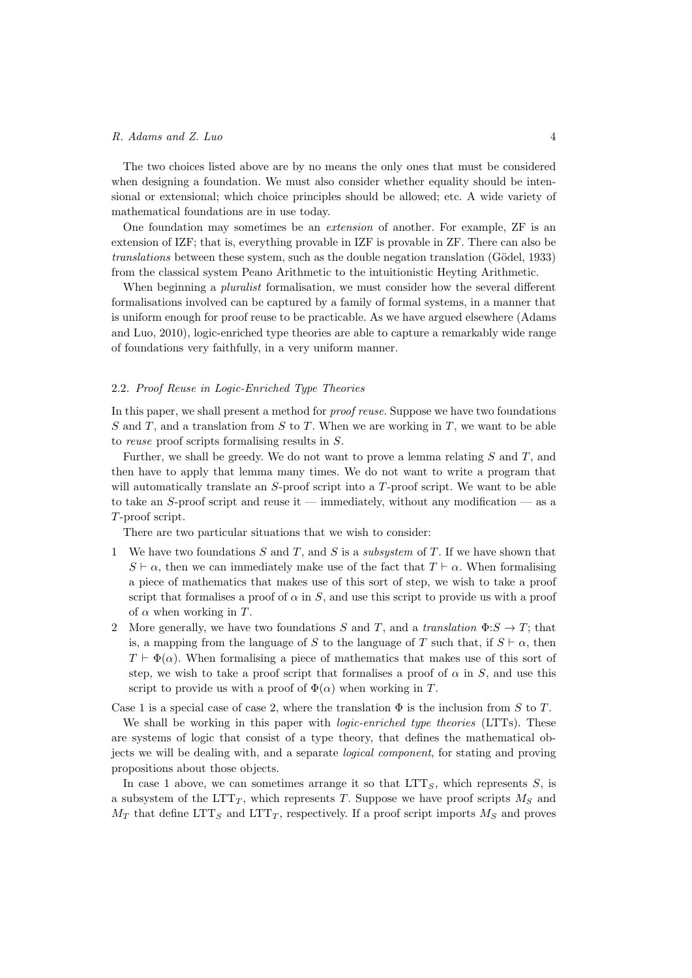The two choices listed above are by no means the only ones that must be considered when designing a foundation. We must also consider whether equality should be intensional or extensional; which choice principles should be allowed; etc. A wide variety of mathematical foundations are in use today.

One foundation may sometimes be an extension of another. For example, ZF is an extension of IZF; that is, everything provable in IZF is provable in ZF. There can also be translations between these system, such as the double negation translation (Gödel, 1933) from the classical system Peano Arithmetic to the intuitionistic Heyting Arithmetic.

When beginning a *pluralist* formalisation, we must consider how the several different formalisations involved can be captured by a family of formal systems, in a manner that is uniform enough for proof reuse to be practicable. As we have argued elsewhere (Adams and Luo, 2010), logic-enriched type theories are able to capture a remarkably wide range of foundations very faithfully, in a very uniform manner.

# 2.2. Proof Reuse in Logic-Enriched Type Theories

In this paper, we shall present a method for *proof reuse*. Suppose we have two foundations S and T, and a translation from S to T. When we are working in T, we want to be able to reuse proof scripts formalising results in S.

Further, we shall be greedy. We do not want to prove a lemma relating  $S$  and  $T$ , and then have to apply that lemma many times. We do not want to write a program that will automatically translate an S-proof script into a T-proof script. We want to be able to take an S-proof script and reuse it — immediately, without any modification — as a T-proof script.

There are two particular situations that we wish to consider:

- 1 We have two foundations  $S$  and  $T$ , and  $S$  is a *subsystem* of  $T$ . If we have shown that  $S \vdash \alpha$ , then we can immediately make use of the fact that  $T \vdash \alpha$ . When formalising a piece of mathematics that makes use of this sort of step, we wish to take a proof script that formalises a proof of  $\alpha$  in S, and use this script to provide us with a proof of  $\alpha$  when working in T.
- 2 More generally, we have two foundations S and T, and a translation  $\Phi: S \to T$ ; that is, a mapping from the language of S to the language of T such that, if  $S \vdash \alpha$ , then  $T \vdash \Phi(\alpha)$ . When formalising a piece of mathematics that makes use of this sort of step, we wish to take a proof script that formalises a proof of  $\alpha$  in S, and use this script to provide us with a proof of  $\Phi(\alpha)$  when working in T.

Case 1 is a special case of case 2, where the translation  $\Phi$  is the inclusion from S to T.

We shall be working in this paper with *logic-enriched type theories* (LTTs). These are systems of logic that consist of a type theory, that defines the mathematical objects we will be dealing with, and a separate logical component, for stating and proving propositions about those objects.

In case 1 above, we can sometimes arrange it so that  $LTT<sub>S</sub>$ , which represents S, is a subsystem of the LTT<sub>T</sub>, which represents T. Suppose we have proof scripts  $M<sub>S</sub>$  and  $M_T$  that define LTT<sub>S</sub> and LTT<sub>T</sub>, respectively. If a proof script imports  $M_S$  and proves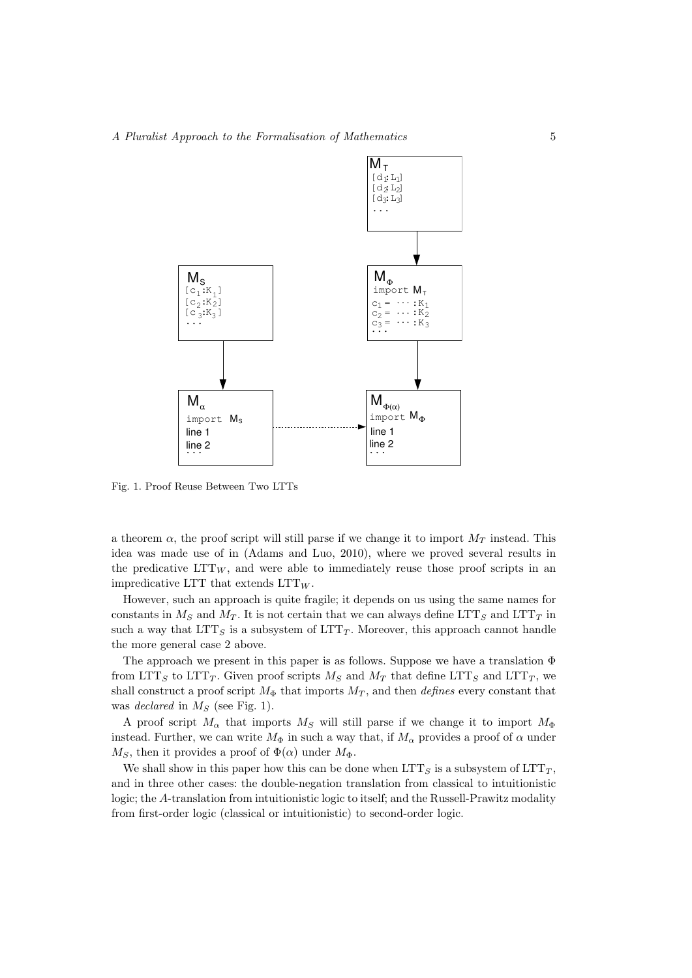

Fig. 1. Proof Reuse Between Two LTTs

a theorem  $\alpha$ , the proof script will still parse if we change it to import  $M_T$  instead. This idea was made use of in (Adams and Luo, 2010), where we proved several results in the predicative  $LTT_{W}$ , and were able to immediately reuse those proof scripts in an impredicative LTT that extends  $LTT_W$ .

However, such an approach is quite fragile; it depends on us using the same names for constants in  $M_S$  and  $M_T$ . It is not certain that we can always define LTT<sub>S</sub> and LTT<sub>T</sub> in such a way that  $LTT_S$  is a subsystem of  $LTT_T$ . Moreover, this approach cannot handle the more general case 2 above.

The approach we present in this paper is as follows. Suppose we have a translation  $\Phi$ from LTT<sub>S</sub> to LTT<sub>T</sub>. Given proof scripts  $M_S$  and  $M_T$  that define LTT<sub>S</sub> and LTT<sub>T</sub>, we shall construct a proof script  $M_{\Phi}$  that imports  $M_T$ , and then *defines* every constant that was *declared* in  $M<sub>S</sub>$  (see Fig. 1).

A proof script  $M_{\alpha}$  that imports  $M_S$  will still parse if we change it to import  $M_{\Phi}$ instead. Further, we can write  $M_{\Phi}$  in such a way that, if  $M_{\alpha}$  provides a proof of  $\alpha$  under  $M<sub>S</sub>$ , then it provides a proof of  $\Phi(\alpha)$  under  $M_{\Phi}$ .

We shall show in this paper how this can be done when  $LTT_S$  is a subsystem of  $LTT_T$ , and in three other cases: the double-negation translation from classical to intuitionistic logic; the A-translation from intuitionistic logic to itself; and the Russell-Prawitz modality from first-order logic (classical or intuitionistic) to second-order logic.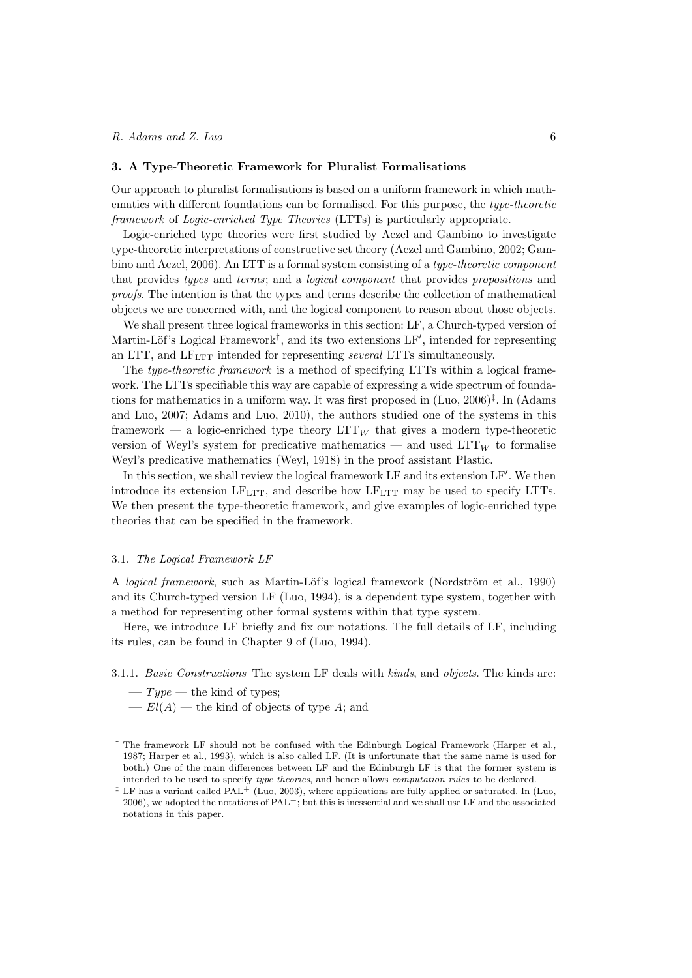## 3. A Type-Theoretic Framework for Pluralist Formalisations

Our approach to pluralist formalisations is based on a uniform framework in which mathematics with different foundations can be formalised. For this purpose, the type-theoretic framework of Logic-enriched Type Theories (LTTs) is particularly appropriate.

Logic-enriched type theories were first studied by Aczel and Gambino to investigate type-theoretic interpretations of constructive set theory (Aczel and Gambino, 2002; Gambino and Aczel, 2006). An LTT is a formal system consisting of a type-theoretic component that provides types and terms; and a logical component that provides propositions and proofs. The intention is that the types and terms describe the collection of mathematical objects we are concerned with, and the logical component to reason about those objects.

We shall present three logical frameworks in this section: LF, a Church-typed version of Martin-Löf's Logical Framework<sup>†</sup>, and its two extensions LF', intended for representing an LTT, and  $LF_{LTT}$  intended for representing several LTTs simultaneously.

The type-theoretic framework is a method of specifying LTTs within a logical framework. The LTTs specifiable this way are capable of expressing a wide spectrum of foundations for mathematics in a uniform way. It was first proposed in  $(Luo, 2006)^{\ddagger}$ . In (Adams and Luo, 2007; Adams and Luo, 2010), the authors studied one of the systems in this framework — a logic-enriched type theory  $LTT_W$  that gives a modern type-theoretic version of Weyl's system for predicative mathematics — and used  $LTT_W$  to formalise Weyl's predicative mathematics (Weyl, 1918) in the proof assistant Plastic.

In this section, we shall review the logical framework LF and its extension  $LF'$ . We then introduce its extension  $LF_{\text{LTT}}$ , and describe how  $LF_{\text{LTT}}$  may be used to specify LTTs. We then present the type-theoretic framework, and give examples of logic-enriched type theories that can be specified in the framework.

#### 3.1. The Logical Framework LF

A *logical framework*, such as Martin-Löf's logical framework (Nordström et al., 1990) and its Church-typed version LF (Luo, 1994), is a dependent type system, together with a method for representing other formal systems within that type system.

Here, we introduce LF briefly and fix our notations. The full details of LF, including its rules, can be found in Chapter 9 of (Luo, 1994).

- 3.1.1. Basic Constructions The system LF deals with kinds, and objects. The kinds are:
	- $Type -$  the kind of types;
	- $El(A)$  the kind of objects of type A; and

<sup>†</sup> The framework LF should not be confused with the Edinburgh Logical Framework (Harper et al., 1987; Harper et al., 1993), which is also called LF. (It is unfortunate that the same name is used for both.) One of the main differences between LF and the Edinburgh LF is that the former system is intended to be used to specify type theories, and hence allows computation rules to be declared.

 $\frac{1}{2}$  LF has a variant called PAL<sup>+</sup> (Luo, 2003), where applications are fully applied or saturated. In (Luo,  $2006$ , we adopted the notations of  $PAL<sup>+</sup>$ ; but this is inessential and we shall use LF and the associated notations in this paper.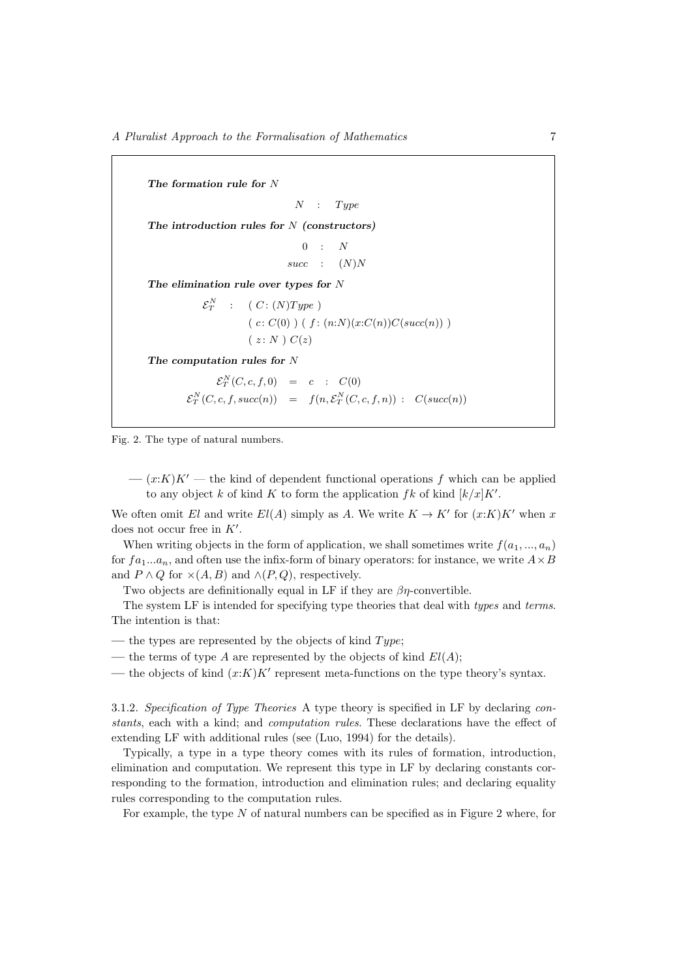The formation rule for N  $N$  : Type The introduction rules for  $N$  (constructors)  $0$  :  $N$  $succ$  :  $(N)N$ The elimination rule over types for N  $\mathcal{E}_T^N$  :  $(C: (N)Type)$  $(c : C(0)) ( f : (n:N)(x:C(n))C(succ(n)))$  $(z: N) C(z)$ The computation rules for N  $\mathcal{E}_T^N(C, c, f, 0) = c : C(0)$  $\mathcal{E}_T^N(C, c, f, succ(n)) = f(n, \mathcal{E}_T^N(C, c, f, n)) : C(succ(n))$ 

Fig. 2. The type of natural numbers.

 $-(x:K)K'$  — the kind of dependent functional operations f which can be applied to any object k of kind K to form the application fk of kind  $\left\lfloor k/x\right\rfloor K'$ .

We often omit El and write  $El(A)$  simply as A. We write  $K \to K'$  for  $(x:K)K'$  when x does not occur free in  $K'$ .

When writing objects in the form of application, we shall sometimes write  $f(a_1, ..., a_n)$ for  $fa_1...a_n$ , and often use the infix-form of binary operators: for instance, we write  $A \times B$ and  $P \wedge Q$  for  $\times (A, B)$  and  $\wedge (P, Q)$ , respectively.

Two objects are definitionally equal in LF if they are  $\beta\eta$ -convertible.

The system LF is intended for specifying type theories that deal with types and terms. The intention is that:

- the types are represented by the objects of kind  $Type;$
- the terms of type A are represented by the objects of kind  $El(A)$ ;
- the objects of kind  $(x:K)K'$  represent meta-functions on the type theory's syntax.

3.1.2. Specification of Type Theories A type theory is specified in LF by declaring constants, each with a kind; and computation rules. These declarations have the effect of extending LF with additional rules (see (Luo, 1994) for the details).

Typically, a type in a type theory comes with its rules of formation, introduction, elimination and computation. We represent this type in LF by declaring constants corresponding to the formation, introduction and elimination rules; and declaring equality rules corresponding to the computation rules.

For example, the type  $N$  of natural numbers can be specified as in Figure 2 where, for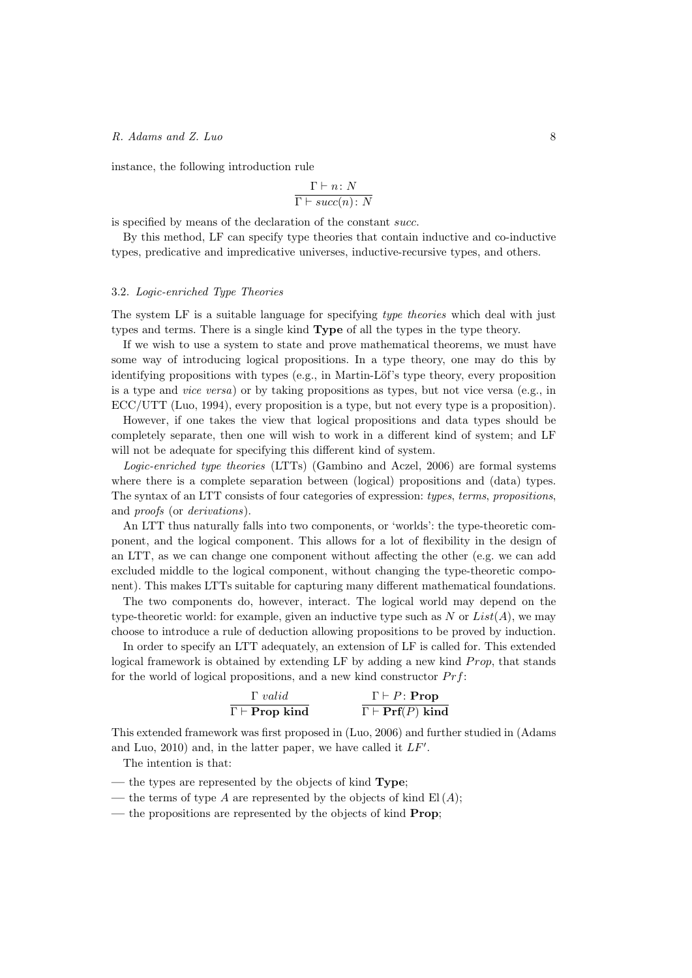instance, the following introduction rule

$$
\frac{\Gamma \vdash n \colon N}{\Gamma \vdash succ(n) \colon N}
$$

is specified by means of the declaration of the constant succ.

By this method, LF can specify type theories that contain inductive and co-inductive types, predicative and impredicative universes, inductive-recursive types, and others.

#### 3.2. Logic-enriched Type Theories

The system LF is a suitable language for specifying type theories which deal with just types and terms. There is a single kind Type of all the types in the type theory.

If we wish to use a system to state and prove mathematical theorems, we must have some way of introducing logical propositions. In a type theory, one may do this by identifying propositions with types  $(e.g., in Martin-Löf's type theory, every proposition$ is a type and *vice versa*) or by taking propositions as types, but not vice versa (e.g., in ECC/UTT (Luo, 1994), every proposition is a type, but not every type is a proposition).

However, if one takes the view that logical propositions and data types should be completely separate, then one will wish to work in a different kind of system; and LF will not be adequate for specifying this different kind of system.

Logic-enriched type theories (LTTs) (Gambino and Aczel, 2006) are formal systems where there is a complete separation between (logical) propositions and (data) types. The syntax of an LTT consists of four categories of expression: types, terms, propositions, and proofs (or derivations).

An LTT thus naturally falls into two components, or 'worlds': the type-theoretic component, and the logical component. This allows for a lot of flexibility in the design of an LTT, as we can change one component without affecting the other (e.g. we can add excluded middle to the logical component, without changing the type-theoretic component). This makes LTTs suitable for capturing many different mathematical foundations.

The two components do, however, interact. The logical world may depend on the type-theoretic world: for example, given an inductive type such as N or  $List(A)$ , we may choose to introduce a rule of deduction allowing propositions to be proved by induction.

In order to specify an LTT adequately, an extension of LF is called for. This extended logical framework is obtained by extending LF by adding a new kind  $Prop$ , that stands for the world of logical propositions, and a new kind constructor  $Prf$ :

| $\Gamma$ valid                     | $\Gamma \vdash P : \textbf{Prop}$    |  |  |
|------------------------------------|--------------------------------------|--|--|
| $\Gamma \vdash \textbf{Prop kind}$ | $\Gamma \vdash \mathbf{Prf}(P)$ kind |  |  |

This extended framework was first proposed in (Luo, 2006) and further studied in (Adams and Luo, 2010) and, in the latter paper, we have called it  $LF'$ .

The intention is that:

- the types are represented by the objects of kind **Type**;
- the terms of type A are represented by the objects of kind  $\mathrm{El}(A)$ ;
- the propositions are represented by the objects of kind **Prop**;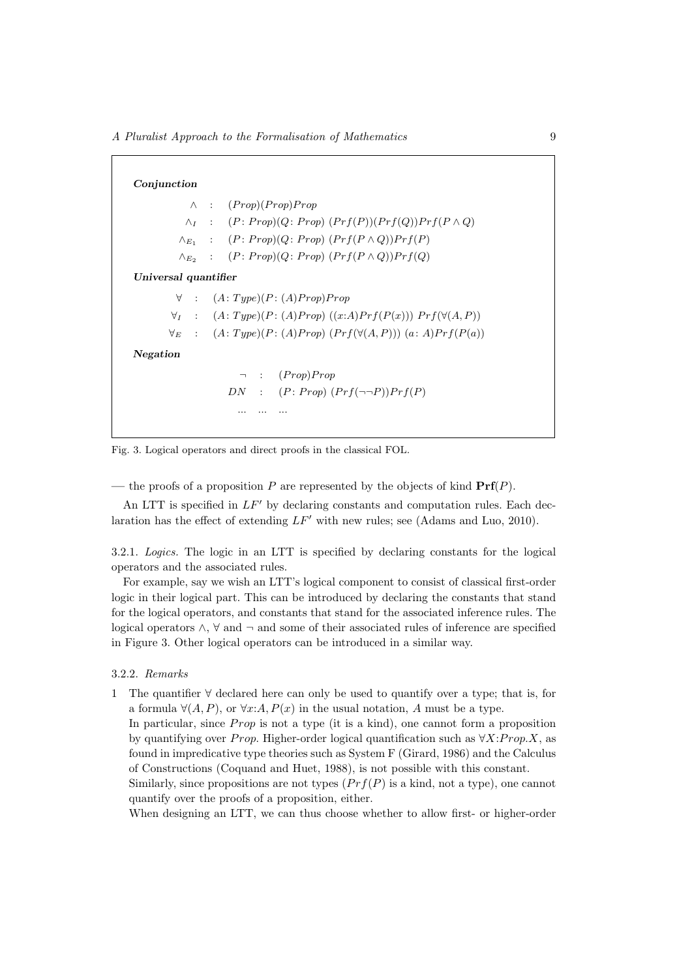|                      | $\wedge$ : $(Prop)(Prop)Prop$                                                 |
|----------------------|-------------------------------------------------------------------------------|
|                      | $\wedge_I$ : $(P: Prop)(Q: Prop) (Prf(P))(Prf(Q)) Prf(P \wedge Q)$            |
|                      | $\wedge_{E_1}$ : $(P: Prop)(Q: Prop) (Prf(P \wedge Q)) Prf(P)$                |
|                      | $\wedge_{E_2}$ : $(P: Prop)(Q: Prop) (Prf(P \wedge Q)) Prf(Q)$                |
| Universal quantifier |                                                                               |
|                      | $\forall$ : $(A: Type)(P: (A) Prop) Prop$                                     |
|                      | $\forall I : (A: Type)(P: (A) Prop) ((x:A) Prf(P(x))) Prf(\forall (A, P))$    |
|                      | $\forall E$ : $(A: Type)(P: (A) Prop) (Prf(\forall (A, P))) (a: A) Prf(P(a))$ |
| Negation             |                                                                               |
|                      | $\lnot$ : $(Prop)Prop$                                                        |
|                      | $DN$ : $(P: Prop) (Prf(\neg\neg P)) Prf(P)$                                   |
|                      |                                                                               |

Fig. 3. Logical operators and direct proofs in the classical FOL.

— the proofs of a proposition P are represented by the objects of kind  $Prf(P)$ .

An LTT is specified in  $LF'$  by declaring constants and computation rules. Each declaration has the effect of extending  $LF'$  with new rules; see (Adams and Luo, 2010).

3.2.1. Logics. The logic in an LTT is specified by declaring constants for the logical operators and the associated rules.

For example, say we wish an LTT's logical component to consist of classical first-order logic in their logical part. This can be introduced by declaring the constants that stand for the logical operators, and constants that stand for the associated inference rules. The logical operators ∧, ∀ and ¬ and some of their associated rules of inference are specified in Figure 3. Other logical operators can be introduced in a similar way.

# 3.2.2. Remarks

1 The quantifier ∀ declared here can only be used to quantify over a type; that is, for a formula  $\forall (A, P)$ , or  $\forall x:A, P(x)$  in the usual notation, A must be a type.

In particular, since *Prop* is not a type (it is a kind), one cannot form a proposition by quantifying over *Prop.* Higher-order logical quantification such as  $\forall X: Prop.X$ , as found in impredicative type theories such as System F (Girard, 1986) and the Calculus of Constructions (Coquand and Huet, 1988), is not possible with this constant.

Similarly, since propositions are not types  $(Prf(P)$  is a kind, not a type), one cannot quantify over the proofs of a proposition, either.

When designing an LTT, we can thus choose whether to allow first- or higher-order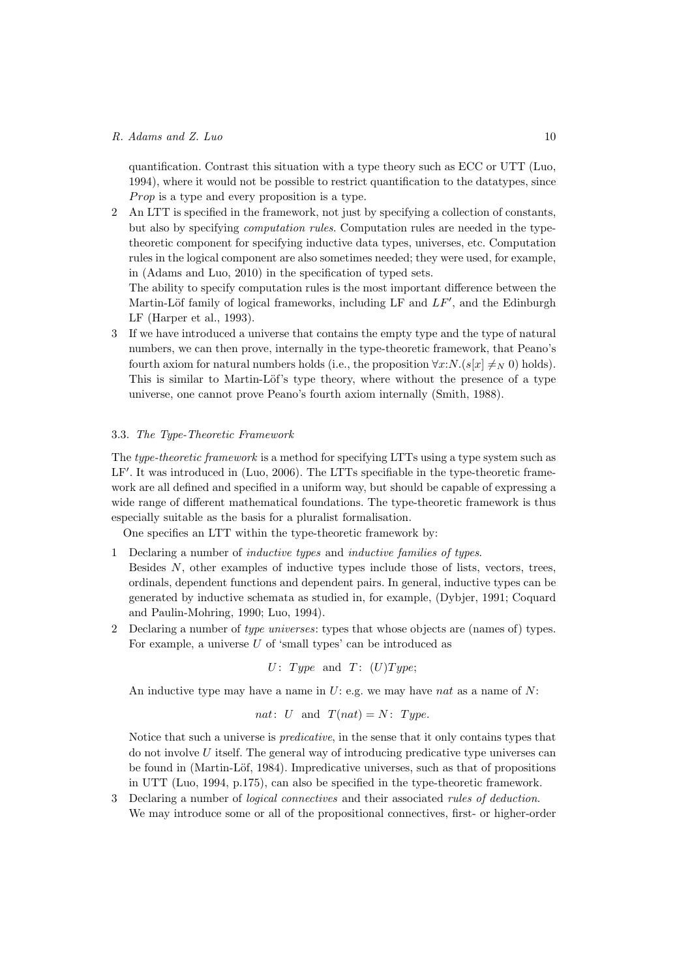quantification. Contrast this situation with a type theory such as ECC or UTT (Luo, 1994), where it would not be possible to restrict quantification to the datatypes, since Prop is a type and every proposition is a type.

2 An LTT is specified in the framework, not just by specifying a collection of constants, but also by specifying computation rules. Computation rules are needed in the typetheoretic component for specifying inductive data types, universes, etc. Computation rules in the logical component are also sometimes needed; they were used, for example, in (Adams and Luo, 2010) in the specification of typed sets.

The ability to specify computation rules is the most important difference between the Martin-Löf family of logical frameworks, including LF and  $LF'$ , and the Edinburgh LF (Harper et al., 1993).

3 If we have introduced a universe that contains the empty type and the type of natural numbers, we can then prove, internally in the type-theoretic framework, that Peano's fourth axiom for natural numbers holds (i.e., the proposition  $\forall x: N.(s[x] \neq_N 0)$  holds). This is similar to Martin-Löf's type theory, where without the presence of a type universe, one cannot prove Peano's fourth axiom internally (Smith, 1988).

#### 3.3. The Type-Theoretic Framework

The type-theoretic framework is a method for specifying LTTs using a type system such as LF'. It was introduced in (Luo, 2006). The LTTs specifiable in the type-theoretic framework are all defined and specified in a uniform way, but should be capable of expressing a wide range of different mathematical foundations. The type-theoretic framework is thus especially suitable as the basis for a pluralist formalisation.

One specifies an LTT within the type-theoretic framework by:

- 1 Declaring a number of inductive types and inductive families of types. Besides  $N$ , other examples of inductive types include those of lists, vectors, trees, ordinals, dependent functions and dependent pairs. In general, inductive types can be generated by inductive schemata as studied in, for example, (Dybjer, 1991; Coquard and Paulin-Mohring, 1990; Luo, 1994).
- 2 Declaring a number of type universes: types that whose objects are (names of) types. For example, a universe U of 'small types' can be introduced as

$$
U
$$
: *Type* and *T*:  $(U)Type$ ;

An inductive type may have a name in  $U: e.g.$  we may have nat as a name of  $N$ :

*nat*: *U* and 
$$
T(nat) = N
$$
: *Type*.

Notice that such a universe is predicative, in the sense that it only contains types that do not involve  $U$  itself. The general way of introducing predicative type universes can be found in (Martin-Löf, 1984). Impredicative universes, such as that of propositions in UTT (Luo, 1994, p.175), can also be specified in the type-theoretic framework.

Declaring a number of *logical connectives* and their associated *rules of deduction*. We may introduce some or all of the propositional connectives, first- or higher-order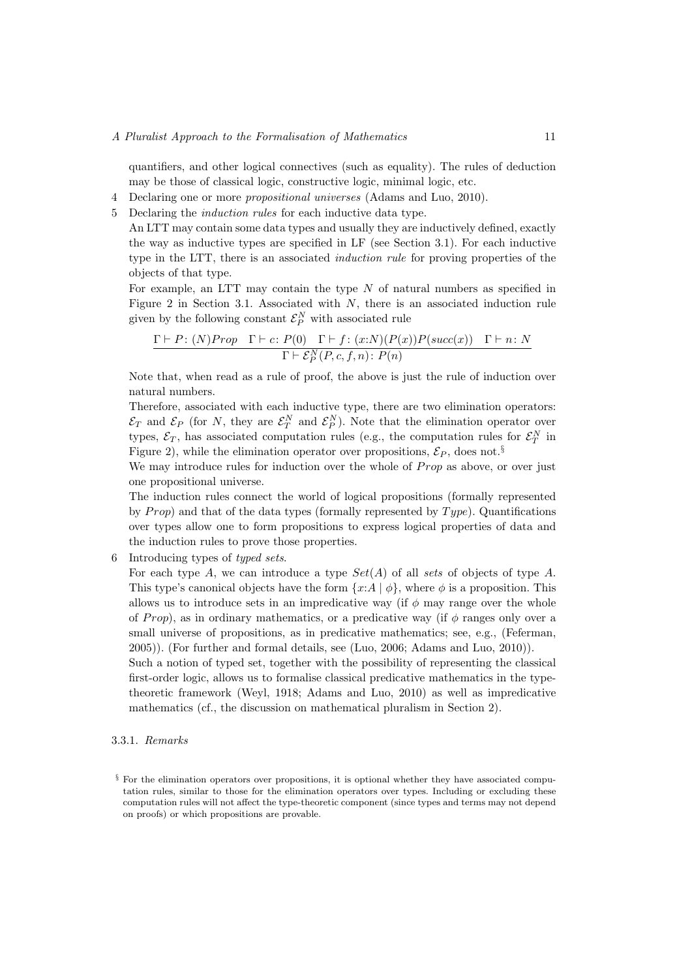quantifiers, and other logical connectives (such as equality). The rules of deduction may be those of classical logic, constructive logic, minimal logic, etc.

- 4 Declaring one or more propositional universes (Adams and Luo, 2010).
- 5 Declaring the induction rules for each inductive data type.

An LTT may contain some data types and usually they are inductively defined, exactly the way as inductive types are specified in LF (see Section 3.1). For each inductive type in the LTT, there is an associated *induction rule* for proving properties of the objects of that type.

For example, an LTT may contain the type  $N$  of natural numbers as specified in Figure 2 in Section 3.1. Associated with  $N$ , there is an associated induction rule given by the following constant  $\mathcal{E}_P^N$  with associated rule

$$
\frac{\Gamma \vdash P \colon (N) Prop\quad \Gamma \vdash c \colon P(0)\quad \Gamma \vdash f \colon (x{:}N)(P(x))P(succ(x))\quad \Gamma \vdash n \colon N}{\Gamma \vdash \mathcal{E}_P^N(P,c,f,n) \colon P(n)}
$$

Note that, when read as a rule of proof, the above is just the rule of induction over natural numbers.

Therefore, associated with each inductive type, there are two elimination operators:  $\mathcal{E}_T$  and  $\mathcal{E}_P$  (for N, they are  $\mathcal{E}_T^N$  and  $\mathcal{E}_P^N$ ). Note that the elimination operator over types,  $\mathcal{E}_T$ , has associated computation rules (e.g., the computation rules for  $\mathcal{E}_T^N$  in Figure 2), while the elimination operator over propositions,  $\mathcal{E}_P$ , does not.<sup>§</sup>

We may introduce rules for induction over the whole of  $Prop$  as above, or over just one propositional universe.

The induction rules connect the world of logical propositions (formally represented by  $Prop$ ) and that of the data types (formally represented by  $Type$ ). Quantifications over types allow one to form propositions to express logical properties of data and the induction rules to prove those properties.

6 Introducing types of typed sets.

For each type A, we can introduce a type  $Set(A)$  of all sets of objects of type A. This type's canonical objects have the form  $\{x:A \mid \phi\}$ , where  $\phi$  is a proposition. This allows us to introduce sets in an impredicative way (if  $\phi$  may range over the whole of Prop), as in ordinary mathematics, or a predicative way (if  $\phi$  ranges only over a small universe of propositions, as in predicative mathematics; see, e.g., (Feferman, 2005)). (For further and formal details, see (Luo, 2006; Adams and Luo, 2010)).

Such a notion of typed set, together with the possibility of representing the classical first-order logic, allows us to formalise classical predicative mathematics in the typetheoretic framework (Weyl, 1918; Adams and Luo, 2010) as well as impredicative mathematics (cf., the discussion on mathematical pluralism in Section 2).

## 3.3.1. Remarks

<sup>§</sup> For the elimination operators over propositions, it is optional whether they have associated computation rules, similar to those for the elimination operators over types. Including or excluding these computation rules will not affect the type-theoretic component (since types and terms may not depend on proofs) or which propositions are provable.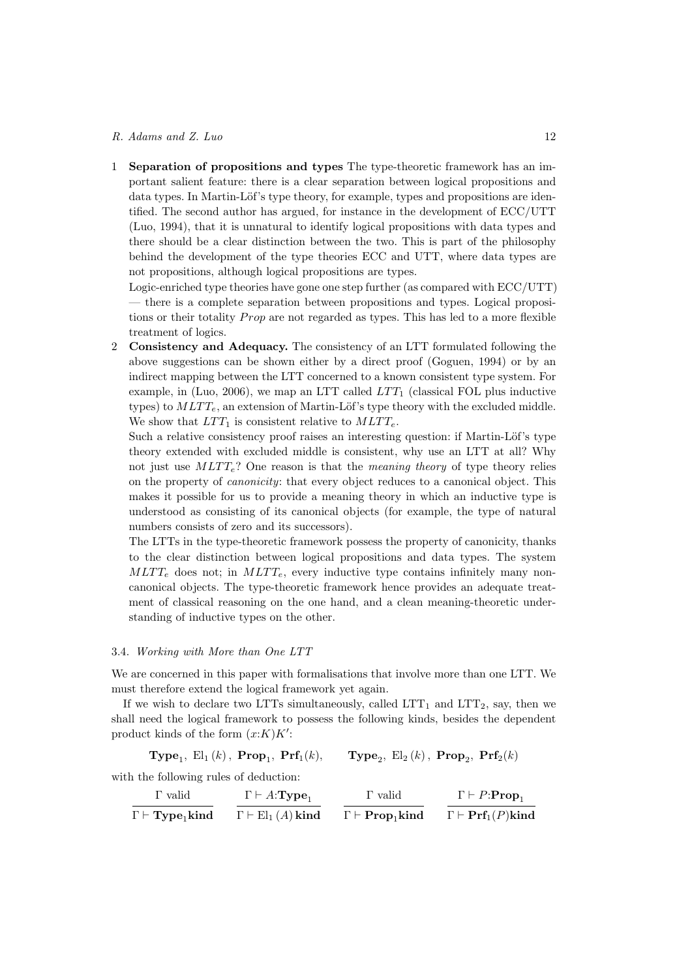1 Separation of propositions and types The type-theoretic framework has an important salient feature: there is a clear separation between logical propositions and data types. In Martin-Löf's type theory, for example, types and propositions are identified. The second author has argued, for instance in the development of ECC/UTT (Luo, 1994), that it is unnatural to identify logical propositions with data types and there should be a clear distinction between the two. This is part of the philosophy behind the development of the type theories ECC and UTT, where data types are not propositions, although logical propositions are types.

Logic-enriched type theories have gone one step further (as compared with ECC/UTT) — there is a complete separation between propositions and types. Logical propositions or their totality  $Prop$  are not regarded as types. This has led to a more flexible treatment of logics.

2 Consistency and Adequacy. The consistency of an LTT formulated following the above suggestions can be shown either by a direct proof (Goguen, 1994) or by an indirect mapping between the LTT concerned to a known consistent type system. For example, in (Luo, 2006), we map an LTT called  $LTT_1$  (classical FOL plus inductive types) to  $MLTT_e$ , an extension of Martin-Löf's type theory with the excluded middle. We show that  $LTT_1$  is consistent relative to  $MLTT_e$ .

Such a relative consistency proof raises an interesting question: if Martin-Löf's type theory extended with excluded middle is consistent, why use an LTT at all? Why not just use  $MLTT_e$ ? One reason is that the *meaning theory* of type theory relies on the property of canonicity: that every object reduces to a canonical object. This makes it possible for us to provide a meaning theory in which an inductive type is understood as consisting of its canonical objects (for example, the type of natural numbers consists of zero and its successors).

The LTTs in the type-theoretic framework possess the property of canonicity, thanks to the clear distinction between logical propositions and data types. The system  $MLTT_e$  does not; in  $MLTT_e$ , every inductive type contains infinitely many noncanonical objects. The type-theoretic framework hence provides an adequate treatment of classical reasoning on the one hand, and a clean meaning-theoretic understanding of inductive types on the other.

## 3.4. Working with More than One LTT

We are concerned in this paper with formalisations that involve more than one LTT. We must therefore extend the logical framework yet again.

If we wish to declare two LTTs simultaneously, called  $LTT_1$  and  $LTT_2$ , say, then we shall need the logical framework to possess the following kinds, besides the dependent product kinds of the form  $(x:K)K'$ :

 $\textbf{Type}_1, \ \text{El}_1(k), \ \textbf{Prop}_1, \ \textbf{Prf}_1(k), \qquad \textbf{Type}_2, \ \text{El}_2(k), \ \textbf{Prop}_2, \ \textbf{Prf}_2(k)$ 

with the following rules of deduction:

| $\Gamma$ valid                               | $\Gamma \vdash A:\mathbf{Type_1}$                 | $\Gamma$ valid                               | $\Gamma \vdash P:\textbf{Prop}_1$      |
|----------------------------------------------|---------------------------------------------------|----------------------------------------------|----------------------------------------|
| $\Gamma \vdash \mathrm{Type}_1\mathrm{kind}$ | $\Gamma\vdash \mathrm{El}_{1}\left(A\right)$ kind | $\Gamma \vdash \textbf{Prop}_1\textbf{kind}$ | $\Gamma \vdash \mathbf{Prf}_1(P)$ kind |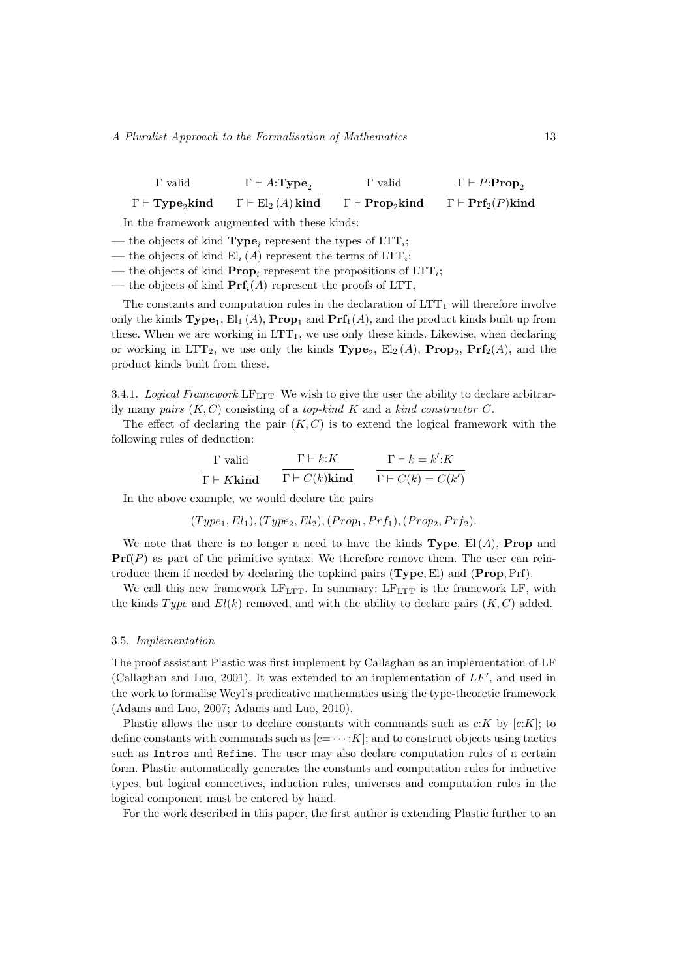| $\Gamma$ valid                       | $\Gamma \vdash A:\mathbf{Type}_{2}$   | $\Gamma$ valid                               | $\Gamma \vdash P:\textbf{Prop}_2$      |  |  |
|--------------------------------------|---------------------------------------|----------------------------------------------|----------------------------------------|--|--|
| $\Gamma \vdash \mathbf{Type_2 kind}$ | $\Gamma \vdash \mathrm{El}_2(A)$ kind | $\Gamma \vdash \textbf{Prop}_2\textbf{kind}$ | $\Gamma \vdash \mathbf{Prf}_2(P)$ kind |  |  |

In the framework augmented with these kinds:

— the objects of kind  $Type_i$  represent the types of LTT<sub>i</sub>;

— the objects of kind  $\mathrm{El}_i(A)$  represent the terms of  $\mathrm{LTT}_i$ ;

— the objects of kind  $\text{Prop}_i$  represent the propositions of LTT<sub>i</sub>;

— the objects of kind  $\mathbf{Prf}_i(A)$  represent the proofs of  $\mathbf{LTT}_i$ 

The constants and computation rules in the declaration of  $LTT_1$  will therefore involve only the kinds  $\textbf{Type}_1$ ,  $\text{El}_1(A)$ ,  $\textbf{Prop}_1$  and  $\textbf{Prf}_1(A)$ , and the product kinds built up from these. When we are working in  $LTT_1$ , we use only these kinds. Likewise, when declaring or working in  $\text{LTT}_2$ , we use only the kinds  $\text{Type}_2$ ,  $\text{El}_2(A)$ ,  $\text{Prop}_2$ ,  $\text{Prf}_2(A)$ , and the product kinds built from these.

3.4.1. Logical Framework  $LF_{LTT}$  We wish to give the user the ability to declare arbitrarily many pairs  $(K, C)$  consisting of a top-kind K and a kind constructor C.

The effect of declaring the pair  $(K, C)$  is to extend the logical framework with the following rules of deduction:

| Γ valid                | $\Gamma \vdash k:K$       | $\Gamma \vdash k = k' : K$   |
|------------------------|---------------------------|------------------------------|
| $\Gamma \vdash K$ kind | $\Gamma \vdash C(k)$ kind | $\Gamma \vdash C(k) = C(k')$ |

In the above example, we would declare the pairs

 $(Type_1, El_1), (Type_2, El_2), (Prop_1, Prf_1), (Prop_2, Prf_2).$ 

We note that there is no longer a need to have the kinds **Type**,  $\text{El}(A)$ . **Prop** and  $\text{Prf}(P)$  as part of the primitive syntax. We therefore remove them. The user can reintroduce them if needed by declaring the topkind pairs (Type,El) and (Prop,Prf).

We call this new framework  $LF_{\text{LTT}}$ . In summary:  $LF_{\text{LTT}}$  is the framework LF, with the kinds Type and  $El(k)$  removed, and with the ability to declare pairs  $(K, C)$  added.

#### 3.5. Implementation

The proof assistant Plastic was first implement by Callaghan as an implementation of LF (Callaghan and Luo, 2001). It was extended to an implementation of  $LF'$ , and used in the work to formalise Weyl's predicative mathematics using the type-theoretic framework (Adams and Luo, 2007; Adams and Luo, 2010).

Plastic allows the user to declare constants with commands such as  $c:K$  by  $[c:K]$ ; to define constants with commands such as  $[c = \cdots : K]$ ; and to construct objects using tactics such as Intros and Refine. The user may also declare computation rules of a certain form. Plastic automatically generates the constants and computation rules for inductive types, but logical connectives, induction rules, universes and computation rules in the logical component must be entered by hand.

For the work described in this paper, the first author is extending Plastic further to an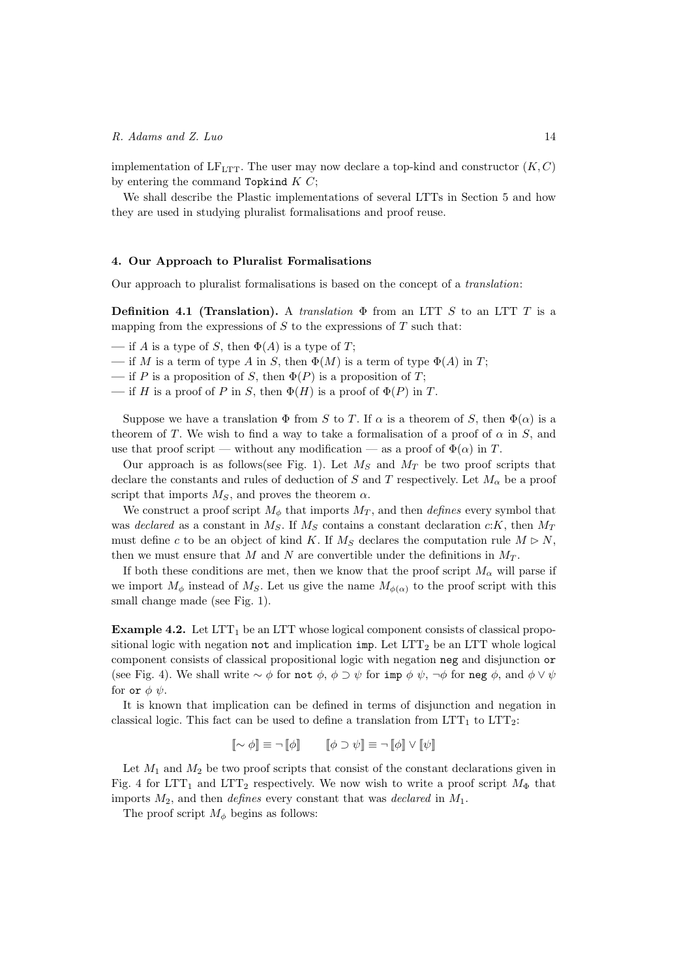implementation of  $LF_{\text{LTT}}$ . The user may now declare a top-kind and constructor  $(K, C)$ by entering the command Topkind  $K C$ ;

We shall describe the Plastic implementations of several LTTs in Section 5 and how they are used in studying pluralist formalisations and proof reuse.

# 4. Our Approach to Pluralist Formalisations

Our approach to pluralist formalisations is based on the concept of a translation:

Definition 4.1 (Translation). A translation  $\Phi$  from an LTT S to an LTT T is a mapping from the expressions of  $S$  to the expressions of  $T$  such that:

- if A is a type of S, then  $\Phi(A)$  is a type of T;
- if M is a term of type A in S, then  $\Phi(M)$  is a term of type  $\Phi(A)$  in T;
- if P is a proposition of S, then  $\Phi(P)$  is a proposition of T;
- if H is a proof of P in S, then  $\Phi(H)$  is a proof of  $\Phi(P)$  in T.

Suppose we have a translation  $\Phi$  from S to T. If  $\alpha$  is a theorem of S, then  $\Phi(\alpha)$  is a theorem of T. We wish to find a way to take a formalisation of a proof of  $\alpha$  in S, and use that proof script — without any modification — as a proof of  $\Phi(\alpha)$  in T.

Our approach is as follows(see Fig. 1). Let  $M<sub>S</sub>$  and  $M<sub>T</sub>$  be two proof scripts that declare the constants and rules of deduction of S and T respectively. Let  $M_{\alpha}$  be a proof script that imports  $M<sub>S</sub>$ , and proves the theorem  $\alpha$ .

We construct a proof script  $M_{\phi}$  that imports  $M_T$ , and then *defines* every symbol that was declared as a constant in  $M_S$ . If  $M_S$  contains a constant declaration c:K, then  $M_T$ must define c to be an object of kind K. If  $M<sub>S</sub>$  declares the computation rule  $M \triangleright N$ , then we must ensure that M and N are convertible under the definitions in  $M_T$ .

If both these conditions are met, then we know that the proof script  $M_{\alpha}$  will parse if we import  $M_{\phi}$  instead of  $M_S$ . Let us give the name  $M_{\phi(\alpha)}$  to the proof script with this small change made (see Fig. 1).

Example 4.2. Let  $LTT_1$  be an LTT whose logical component consists of classical propositional logic with negation not and implication  $\text{imp.}$  Let  $\text{LTT}_2$  be an LTT whole logical component consists of classical propositional logic with negation neg and disjunction or (see Fig. 4). We shall write  $\sim \phi$  for not  $\phi$ ,  $\phi \supset \psi$  for imp  $\phi \psi$ ,  $\neg \phi$  for neg  $\phi$ , and  $\phi \vee \psi$ for or  $\phi \psi$ .

It is known that implication can be defined in terms of disjunction and negation in classical logic. This fact can be used to define a translation from  $LTT_1$  to  $LTT_2$ :

$$
[\![ \sim \phi ]\!] \equiv \neg [\![ \phi ]\!] \qquad [\![ \phi \supset \psi ]\!] \equiv \neg [\![ \phi ]\!] \vee [\![ \psi ]\!]
$$

Let  $M_1$  and  $M_2$  be two proof scripts that consist of the constant declarations given in Fig. 4 for LTT<sub>1</sub> and LTT<sub>2</sub> respectively. We now wish to write a proof script  $M_{\Phi}$  that imports  $M_2$ , and then *defines* every constant that was *declared* in  $M_1$ .

The proof script  $M_{\phi}$  begins as follows: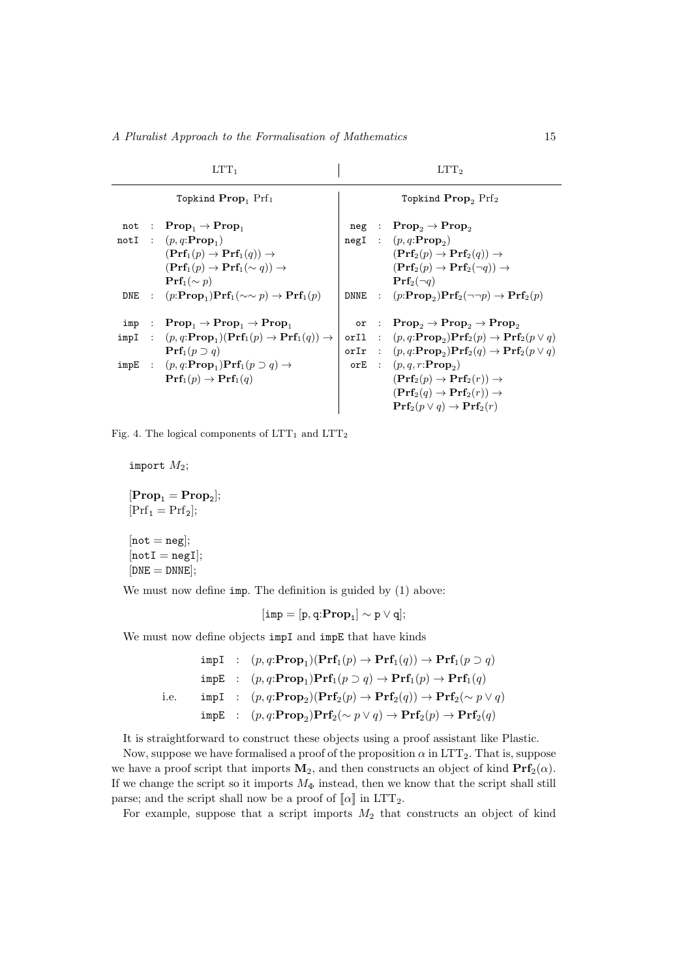|  | LTT <sub>1</sub>                                                                       |  | LTT <sub>2</sub>                                                                              |
|--|----------------------------------------------------------------------------------------|--|-----------------------------------------------------------------------------------------------|
|  | Topkind $\text{Prop}_1 \text{Prf}_1$                                                   |  | Topkind $\text{Prop}_{2}$ , $\text{Prf}_{2}$                                                  |
|  | not : $Prop_1 \rightarrow Prop_1$                                                      |  | $neg : Prop_2 \rightarrow Prop_2$                                                             |
|  | notI : (p, q: Prop <sub>1</sub> )                                                      |  | negI : (p, q:Prop <sub>2</sub> )                                                              |
|  | $(\mathbf{Prf}_1(p) \to \mathbf{Prf}_1(q)) \to$                                        |  | $(\mathbf{Prf}_2(p) \to \mathbf{Prf}_2(q)) \to$                                               |
|  | $(\mathbf{Prf}_1(p) \to \mathbf{Prf}_1(\sim q)) \to$                                   |  | $(\mathbf{Prf}_2(p) \to \mathbf{Prf}_2(\neg q)) \to$                                          |
|  | $\mathbf{Prf}_1(\sim p)$                                                               |  | $Prf_2(\neg q)$                                                                               |
|  | DNE : $(p:\mathbf{Prop}_1)\mathbf{Prf}_1(\sim\sim p) \to \mathbf{Prf}_1(p)$            |  | DNNE: $(p:\mathbf{Prop}_{2})\mathbf{Prf}_{2}(\neg\neg p) \rightarrow \mathbf{Prf}_{2}(p)$     |
|  | $\text{imp}$ : $\text{Prop}_1 \rightarrow \text{Prop}_1 \rightarrow \text{Prop}_1$     |  | or : $Prop_2 \rightarrow Prop_2 \rightarrow Prop_2$                                           |
|  | $\mathtt{impI}$ : $(p,q:\mathbf{Prop}_1)(\mathbf{Prf}_1(p) \to \mathbf{Prf}_1(q)) \to$ |  | or I1 : $(p, q: \mathbf{Prop}_{2})\mathbf{Prf}_{2}(p) \rightarrow \mathbf{Prf}_{2}(p \vee q)$ |
|  | $\Pr{f_1(p \supset q)}$                                                                |  | or Ir : $(p, q: \mathbf{Prop}_{2})\mathbf{Prf}_{2}(q) \rightarrow \mathbf{Prf}_{2}(p \vee q)$ |
|  | $\mathtt{impE}$ : $(p, q: \mathbf{Prop}_1) \mathbf{Prf}_1(p \supset q) \rightarrow$    |  | orE : $(p, q, r: \mathbf{Prop}_2)$                                                            |
|  | $\mathbf{Prf}_1(p) \rightarrow \mathbf{Prf}_1(q)$                                      |  | $(\mathbf{Prf}_2(p) \to \mathbf{Prf}_2(r)) \to$                                               |
|  |                                                                                        |  | $(\mathbf{Prf}_2(q) \rightarrow \mathbf{Prf}_2(r)) \rightarrow$                               |
|  |                                                                                        |  | $\mathbf{Prf}_2(p \vee q) \rightarrow \mathbf{Prf}_2(r)$                                      |



import  $M_2$ ;

 $[\mathbf{Prop}_1 = \mathbf{Prop}_2];$  $[Prf_1 = Prf_2];$  $[not = neg];$  $[notI = negI];$  $[DNE = DNNE];$ 

We must now define imp. The definition is guided by (1) above:

$$
[\mathtt{imp}=[\mathtt{p},\mathtt{q} {:} \mathbf{Prop}_1] \sim \mathtt{p} \vee \mathtt{q}];
$$

We must now define objects impI and impE that have kinds

$$
\begin{array}{lll}\n\text{impI} & \colon & (p, q:\mathbf{Prop}_1)(\mathbf{Prf}_1(p) \to \mathbf{Prf}_1(q)) \to \mathbf{Prf}_1(p \supset q) \\
\text{impE} & \colon & (p, q:\mathbf{Prop}_1)\mathbf{Prf}_1(p \supset q) \to \mathbf{Prf}_1(p) \to \mathbf{Prf}_1(q) \\
\text{i.e.} & \text{impI} & \colon & (p, q:\mathbf{Prop}_2)(\mathbf{Prf}_2(p) \to \mathbf{Prf}_2(q)) \to \mathbf{Prf}_2(\sim p \lor q) \\
\text{impE} & \colon & (p, q:\mathbf{Prop}_2)\mathbf{Prf}_2(\sim p \lor q) \to \mathbf{Prf}_2(p) \to \mathbf{Prf}_2(q)\n\end{array}
$$

It is straightforward to construct these objects using a proof assistant like Plastic.

Now, suppose we have formalised a proof of the proposition  $\alpha$  in LTT<sub>2</sub>. That is, suppose we have a proof script that imports  $M_2$ , and then constructs an object of kind  $\Prf_2(\alpha)$ . If we change the script so it imports  $M_{\Phi}$  instead, then we know that the script shall still parse; and the script shall now be a proof of  $[\![\alpha]\!]$  in LTT<sub>2</sub>.

For example, suppose that a script imports  $M_2$  that constructs an object of kind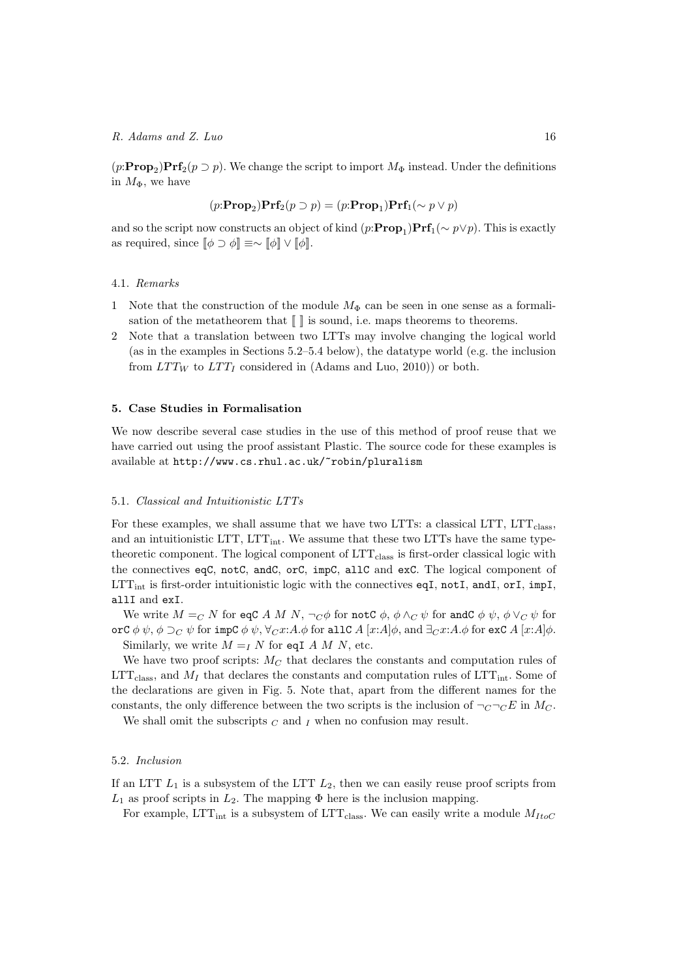$(p:\textbf{Prop}_2)\textbf{Prf}_2(p \supset p)$ . We change the script to import  $M_{\Phi}$  instead. Under the definitions in  $M_{\Phi}$ , we have

$$
(p:\mathbf{Prop}_2)\mathbf{Prf}_2(p \supset p) = (p:\mathbf{Prop}_1)\mathbf{Prf}_1(\sim p \lor p)
$$

and so the script now constructs an object of kind  $(p:\textbf{Prop}_1)\textbf{Prf}_1(\sim p \lor p)$ . This is exactly as required, since  $[\![\phi \supset \phi]\!] \equiv \sim [\![\phi]\!] \vee [\![\phi]\!]$ .

#### 4.1. Remarks

- 1 Note that the construction of the module  $M_{\Phi}$  can be seen in one sense as a formalisation of the metatheorem that  $\llbracket \ \rrbracket$  is sound, i.e. maps theorems to theorems.
- 2 Note that a translation between two LTTs may involve changing the logical world (as in the examples in Sections 5.2–5.4 below), the datatype world (e.g. the inclusion from  $LTT_W$  to  $LTT_I$  considered in (Adams and Luo, 2010)) or both.

#### 5. Case Studies in Formalisation

We now describe several case studies in the use of this method of proof reuse that we have carried out using the proof assistant Plastic. The source code for these examples is available at http://www.cs.rhul.ac.uk/~robin/pluralism

## 5.1. Classical and Intuitionistic LTTs

For these examples, we shall assume that we have two LTTs: a classical LTT,  $LTT_{\text{class}}$ , and an intuitionistic LTT,  $LTT_{int}$ . We assume that these two LTTs have the same typetheoretic component. The logical component of  $LTT_{\text{class}}$  is first-order classical logic with the connectives eqC, notC, andC, orC, impC, allC and exC. The logical component of  $LTT_{int}$  is first-order intuitionistic logic with the connectives eqI, notI, andI, orI, impI, allI and exI.

We write  $M =_C N$  for eqC A M N,  $\neg C \phi$  for notC  $\phi$ ,  $\phi \wedge_C \psi$  for andC  $\phi \psi$ ,  $\phi \vee_C \psi$  for or  $\mathcal{C} \phi \psi$ ,  $\phi \supset_C \psi$  for impC  $\phi \psi$ ,  $\forall_{C} x:A. \phi$  for all  $C A [x:A] \phi$ , and  $\exists_{C} x:A. \phi$  for exC A  $[x:A] \phi$ . Similarly, we write  $M = I N$  for eq I A M N, etc.

We have two proof scripts:  $M<sub>C</sub>$  that declares the constants and computation rules of  $\text{LTT}_{\text{class}}$ , and  $M_I$  that declares the constants and computation rules of  $\text{LTT}_{\text{int}}$ . Some of the declarations are given in Fig. 5. Note that, apart from the different names for the constants, the only difference between the two scripts is the inclusion of  $\neg C \neg C E$  in  $M_C$ .

We shall omit the subscripts  $C$  and  $I$  when no confusion may result.

#### 5.2. Inclusion

If an LTT  $L_1$  is a subsystem of the LTT  $L_2$ , then we can easily reuse proof scripts from  $L_1$  as proof scripts in  $L_2$ . The mapping  $\Phi$  here is the inclusion mapping.

For example,  $LTT_{int}$  is a subsystem of  $LTT_{class}$ . We can easily write a module  $M_{ItoC}$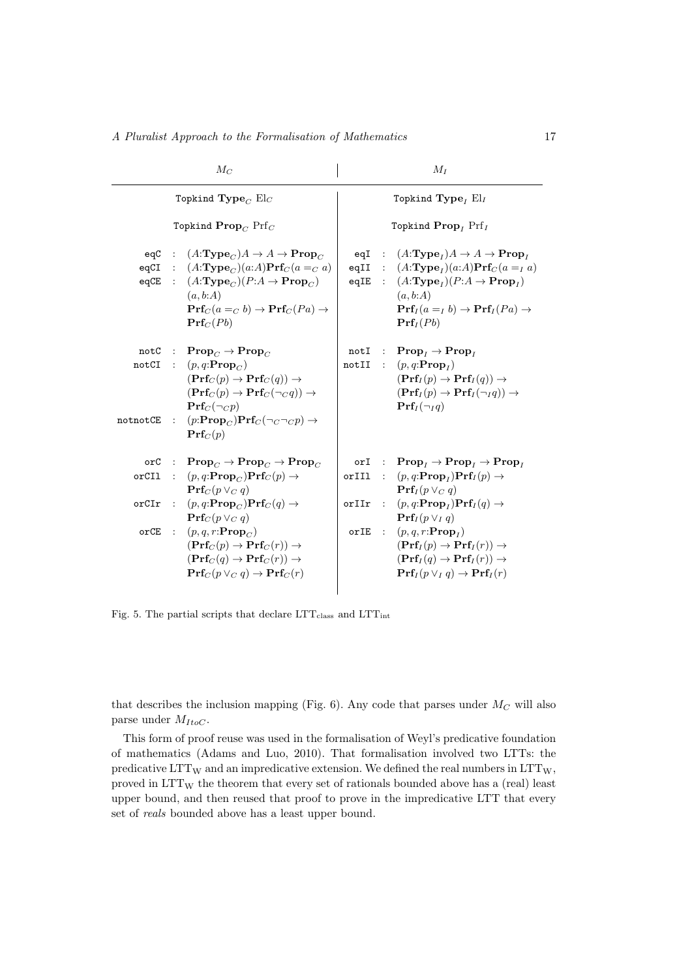L,

|                                       |  | $M_C$                                                                                                                                                                                                                                                                                                 | $M_I$               |  |                                                                                                                                                                                                                                                                                                     |  |
|---------------------------------------|--|-------------------------------------------------------------------------------------------------------------------------------------------------------------------------------------------------------------------------------------------------------------------------------------------------------|---------------------|--|-----------------------------------------------------------------------------------------------------------------------------------------------------------------------------------------------------------------------------------------------------------------------------------------------------|--|
| Topkind $\text{Type}_C$ $\text{El}_C$ |  |                                                                                                                                                                                                                                                                                                       | Topkind $TypeI ElI$ |  |                                                                                                                                                                                                                                                                                                     |  |
|                                       |  | Topkind $\textbf{Prop}_C$ Prf $_C$                                                                                                                                                                                                                                                                    |                     |  | Topkind $\mathbf{Prop}_I \Pr f_I$                                                                                                                                                                                                                                                                   |  |
|                                       |  | eqC : $(A:\textbf{Type}_C)A \rightarrow A \rightarrow \textbf{Prop}_C$<br>eqCI : $(A:\textbf{Type}_C)(a:A)Prf_C(a=_C a)$<br>eqCE : $(A:\textbf{Type}_C)(P:A \to \textbf{Prop}_C)$<br>(a, b:A)<br>$\mathbf{Prf}_{C}(a =_{C} b) \rightarrow \mathbf{Prf}_{C}(Pa) \rightarrow$<br>$\mathbf{Prf}_{C}(Pb)$ |                     |  | eqI : $(A:\textbf{Type}_I)A \rightarrow A \rightarrow \textbf{Prop}_I$<br>eqII : $(A:\textbf{Type}_I)(a:A)\textbf{Prf}_C(a=_I a)$<br>eqIE : $(A:\textbf{Type}_I)(P:A \to \textbf{Prop}_I)$<br>(a, b:A)<br>$\mathbf{Prf}_{I}(a =_{I} b) \rightarrow \mathbf{Prf}_{I}(Pa) \rightarrow$<br>$Prf_I(Pb)$ |  |
|                                       |  | notC : $\text{Prop}_C \to \text{Prop}_C$<br>$\text{notCI}$ : $(p, q: \text{Prop}_C)$<br>$(\mathbf{Prf}_{C}(p) \rightarrow \mathbf{Prf}_{C}(q)) \rightarrow$<br>$(\mathbf{Prf}_{C}(p) \rightarrow \mathbf{Prf}_{C}(\neg_{C}q)) \rightarrow$<br>$\mathbf{Prf}_{C}(\neg_C p)$                            |                     |  | notI : $\text{Prop}_I \to \text{Prop}_I$<br>notII : $(p, q: \mathbf{Prop}_I)$<br>$(\mathbf{Prf}_{I}(p) \rightarrow \mathbf{Prf}_{I}(q)) \rightarrow$<br>$(\mathbf{Prf}_{I}(p) \rightarrow \mathbf{Prf}_{I}(\neg_{I}q)) \rightarrow$<br>$\mathbf{Prf}_{I}(\neg_I q)$                                 |  |
|                                       |  | $\texttt{notnotCE}$ : $(p:\mathbf{Prop}_C)\mathbf{Prf}_C(\neg_C \neg_C p) \rightarrow$<br>$\mathbf{Prf}_{C}(p)$                                                                                                                                                                                       |                     |  |                                                                                                                                                                                                                                                                                                     |  |
|                                       |  | or $C : \text{Prop}_C \to \text{Prop}_C \to \text{Prop}_C$                                                                                                                                                                                                                                            |                     |  | or $I : \text{Prop}_I \to \text{Prop}_I \to \text{Prop}_I$                                                                                                                                                                                                                                          |  |
|                                       |  | orCI1 : $(p,q:\mathbf{Prop}_{\mathbb{C}})\mathbf{Prf}_{\mathbb{C}}(p) \rightarrow$<br>$\mathbf{Prf}_{C}(p\vee_C q)$                                                                                                                                                                                   |                     |  | orII1 : $(p, q: \mathbf{Prop}_I) \mathbf{Prf}_I(p) \rightarrow$<br>$\Pr{f_I(p \vee_C q)}$                                                                                                                                                                                                           |  |
|                                       |  | orCIr : $(p, q: \mathbf{Prop}_C) \mathbf{Prf}_C(q) \rightarrow$<br>$\mathbf{Prf}_{C}(p\vee_C q)$                                                                                                                                                                                                      |                     |  | orIIr : $(p, q: \mathbf{Prop}_I) \mathbf{Prf}_I(q) \rightarrow$<br>$\mathbf{Prf}_{I}(p\vee_{I}q)$                                                                                                                                                                                                   |  |
|                                       |  | orCE : $(p, q, r: \mathbf{Prop}_{C})$<br>$(\mathbf{Prf}_{C}(p) \rightarrow \mathbf{Prf}_{C}(r)) \rightarrow$<br>$(\mathbf{Prf}_{C}(q) \rightarrow \mathbf{Prf}_{C}(r)) \rightarrow$<br>$\mathbf{Prf}_{C}(p \vee_C q) \rightarrow \mathbf{Prf}_{C}(r)$                                                 |                     |  | or IE : $(p, q, r: \mathbf{Prop}_I)$<br>$(\mathbf{Prf}_{I}(p) \rightarrow \mathbf{Prf}_{I}(r)) \rightarrow$<br>$(\mathbf{Prf}_{I}(q) \rightarrow \mathbf{Prf}_{I}(r)) \rightarrow$<br>$\mathbf{Prf}_{I}(p\vee_{I}q)\rightarrow\mathbf{Prf}_{I}(r)$                                                  |  |

Fig. 5. The partial scripts that declare  $\rm{LTT_{class}}$  and  $\rm{LTT_{int}}$ 

that describes the inclusion mapping (Fig. 6). Any code that parses under  $M_C$  will also parse under  $M_{ItoC}$ .

This form of proof reuse was used in the formalisation of Weyl's predicative foundation of mathematics (Adams and Luo, 2010). That formalisation involved two LTTs: the predicative LTT<sub>W</sub> and an impredicative extension. We defined the real numbers in LTT<sub>W</sub>, proved in  $LTT_W$  the theorem that every set of rationals bounded above has a (real) least upper bound, and then reused that proof to prove in the impredicative LTT that every set of reals bounded above has a least upper bound.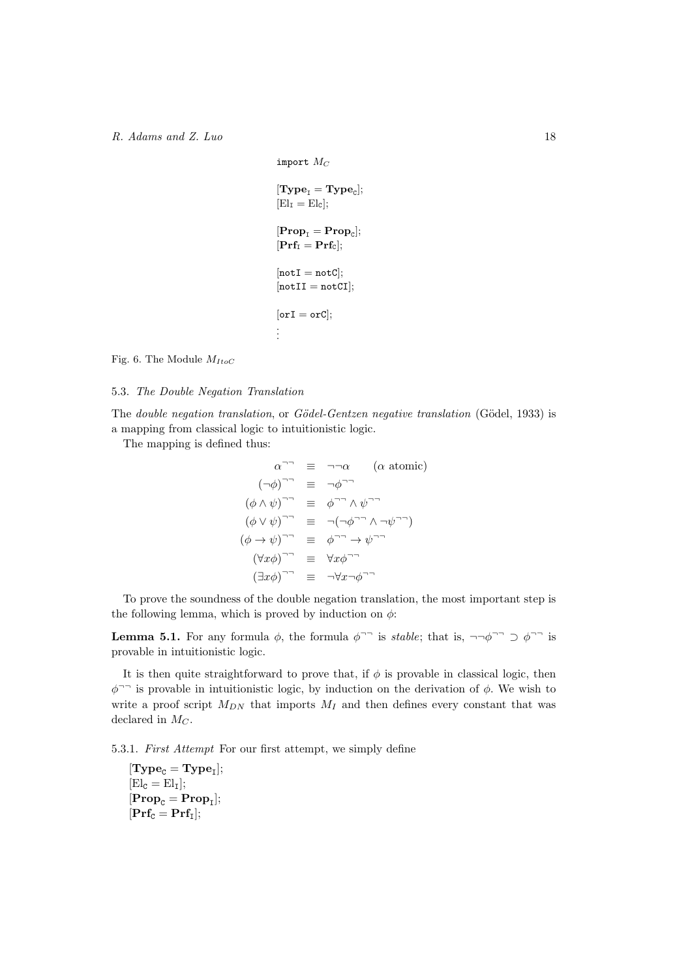```
import M_C[\text{Type}_I = \text{Type}_C];[El_I = El_C];[\mathbf{Prop}_{\mathrm{I}} = \mathbf{Prop}_{\mathrm{C}}];[\mathbf{Prf}_{I} = \mathbf{Prf}_{C}];[notI = notC];[notII = notCI];[orI = orC];.
.
.
```
Fig. 6. The Module  $M_{ItoC}$ 

# 5.3. The Double Negation Translation

The *double negation translation*, or *Gödel-Gentzen negative translation* (Gödel, 1933) is a mapping from classical logic to intuitionistic logic.

The mapping is defined thus:

$$
\alpha^{-1} \equiv -\alpha \quad (\alpha \text{ atomic})
$$
  
\n
$$
(\neg \phi)^{-1} \equiv -\phi^{-1}
$$
  
\n
$$
(\phi \land \psi)^{-1} \equiv \phi^{-1} \land \psi^{-1}
$$
  
\n
$$
(\phi \lor \psi)^{-1} \equiv -(\neg \phi^{-1} \land \neg \psi^{-1})
$$
  
\n
$$
(\phi \to \psi)^{-1} \equiv \phi^{-1} \to \psi^{-1}
$$
  
\n
$$
(\forall x \phi)^{-1} \equiv \forall x \phi^{-1}
$$
  
\n
$$
(\exists x \phi)^{-1} \equiv -\forall x \neg \phi^{-1}
$$

To prove the soundness of the double negation translation, the most important step is the following lemma, which is proved by induction on  $\phi$ :

**Lemma 5.1.** For any formula  $\phi$ , the formula  $\phi^{-1}$  is *stable*; that is,  $\neg \phi^{-1} \supset \phi^{-1}$  is provable in intuitionistic logic.

It is then quite straightforward to prove that, if  $\phi$  is provable in classical logic, then  $\phi$ <sup>--</sup> is provable in intuitionistic logic, by induction on the derivation of  $\phi$ . We wish to write a proof script  $M_{DN}$  that imports  $M_I$  and then defines every constant that was declared in  $M_C$ .

5.3.1. First Attempt For our first attempt, we simply define

 $[\text{Type}_{\texttt{C}} = \text{Type}_{\texttt{I}}];$  $[El_c = El_I];$  $[\mathbf{Prop}_{\mathbb{C}} = \mathbf{Prop}_{\mathbb{I}}];$  $[Prf_C = Prf_I];$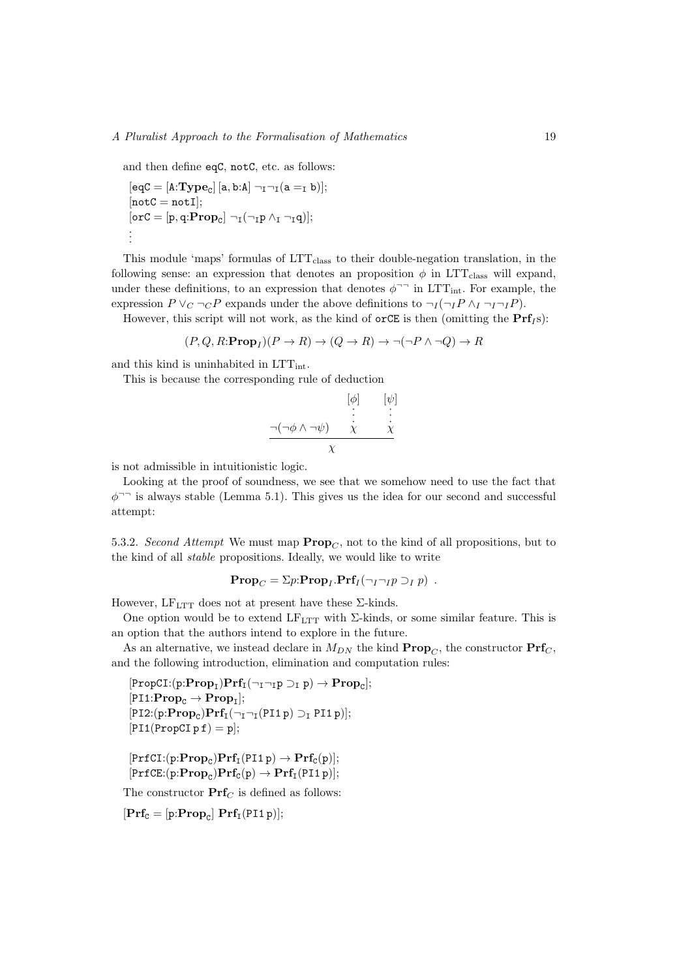and then define eqC, notC, etc. as follows:

$$
\begin{aligned}[{\mathsf{eqC}} &= [{\mathsf{A}}{:\mathbf{Type}}_\text{C}] \, [{\mathsf{a}}, {\mathsf{b}}{:}\text{A}] \, \neg_{\text{I}} \neg_{\text{I}} ({\mathsf{a}} =_{\text{I}} {\mathsf{b}})];\\ [{\mathsf{notC}} &= {\mathsf{not1}}];\\ [{\mathsf{orC}} &= [{\mathsf{p}}, {\mathsf{q}}{:\mathbf{Prop}}_\text{C}] \, \neg_{\text{I}} (\neg_{\text{I}} {\mathsf{p}} \wedge_{\text{I}} \neg_{\text{I}} {\mathsf{q}})];\\ &\vdots \end{aligned}
$$

This module 'maps' formulas of  $LTT_{\text{class}}$  to their double-negation translation, in the following sense: an expression that denotes an proposition  $\phi$  in LTT<sub>class</sub> will expand, under these definitions, to an expression that denotes  $\phi^{-}$  in LTT<sub>int</sub>. For example, the expression  $P \vee_C \neg_C P$  expands under the above definitions to  $\neg_I(\neg_I P \wedge_I \neg_I \neg_I P)$ .

However, this script will not work, as the kind of orce is then (omitting the  $\text{Prf}_{I}$ s):

$$
(P, Q, R: \mathbf{Prop}_I)(P \to R) \to (Q \to R) \to \neg(\neg P \land \neg Q) \to R
$$

and this kind is uninhabited in  $LTT_{int}$ .

This is because the corresponding rule of deduction

$$
\begin{array}{ccc}\n[\phi] & [\psi] \\
\hline\n-(\neg\phi \land \neg\psi) & \chi & \chi \\
\chi & & \chi\n\end{array}
$$

is not admissible in intuitionistic logic.

Looking at the proof of soundness, we see that we somehow need to use the fact that  $\phi$ <sup>--</sup> is always stable (Lemma 5.1). This gives us the idea for our second and successful attempt:

5.3.2. Second Attempt We must map  $\textbf{Prop}_C$ , not to the kind of all propositions, but to the kind of all stable propositions. Ideally, we would like to write

$$
\mathbf{Prop}_C = \Sigma p: \mathbf{Prop}_I.\mathbf{Prf}_I(\neg_I \neg_I p \supset_I p) .
$$

However,  $LF_{\text{LTT}}$  does not at present have these  $\Sigma$ -kinds.

One option would be to extend LF<sub>LTT</sub> with Σ-kinds, or some similar feature. This is an option that the authors intend to explore in the future.

As an alternative, we instead declare in  $M_{DN}$  the kind  $\text{Prop}_C$ , the constructor  $\text{Prf}_C$ , and the following introduction, elimination and computation rules:

 $[\text{PropCI}:(p:\text{Prop}_I)\text{Prf}_I(\neg_I\neg_I p \supset_I p) \rightarrow \text{Prop}_C];$  $[\texttt{PI1:Prop}_{\texttt{C}} \to \textbf{Prop}_{\texttt{I}}];$  $[PI2:(p:\text{Prop}_C)\text{Prf}_I(\neg_I \neg_I(\text{PI1 p}) \supset_I \text{PI1 p})];$  $[PI1(PropCI p f) = p];$ 

 $[\text{PrfCl}:(\text{p:Prop}_{\text{C}})\text{Prf}_{\text{I}}(\text{PI1 p}) \rightarrow \text{Prf}_{\text{C}}(\text{p})];$  $[\texttt{PrfCE:}(p:\textbf{Prop}_C)\textbf{Prf}_C(p) \rightarrow \textbf{Prf}_I(\texttt{PI1 p})];$ 

The constructor  $Prf_C$  is defined as follows:

$$
[\mathbf{Prf}_{C}=[p:\mathbf{Prop}_{C}]\;\mathbf{Prf}_{I}(\mathtt{PI1p})];
$$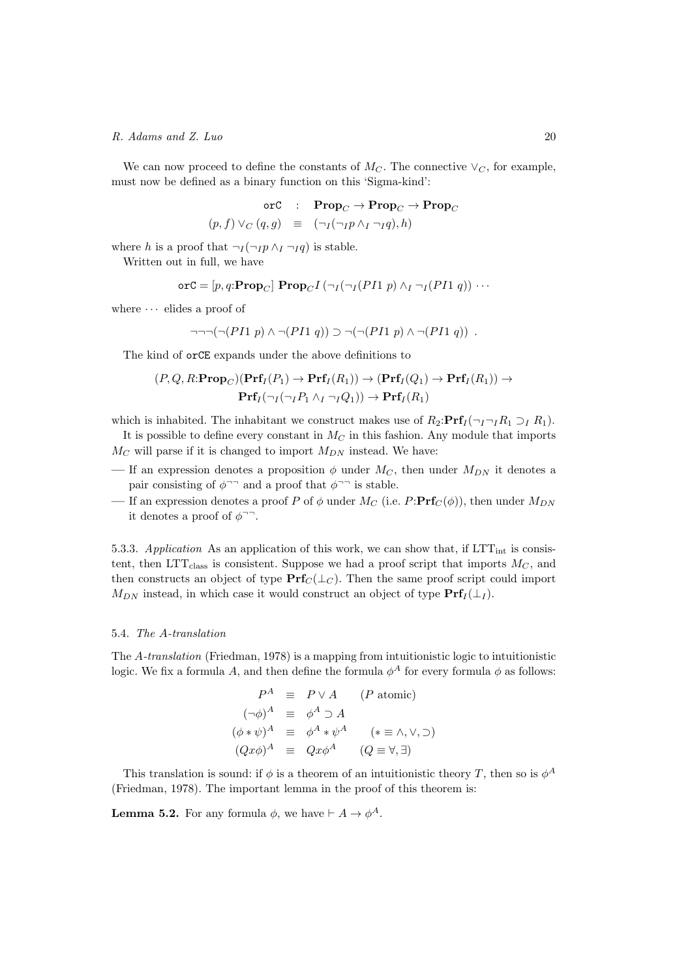We can now proceed to define the constants of  $M_C$ . The connective  $\vee_C$ , for example, must now be defined as a binary function on this 'Sigma-kind':

> orC :  $\text{Prop}_C \to \text{Prop}_C \to \text{Prop}_C$  $(p, f) \vee_C (q, g) \equiv (\neg_I(\neg_I p \wedge_I \neg_I q), h)$

where h is a proof that  $\neg_I(\neg_I p \land_I \neg_I q)$  is stable.

Written out in full, we have

$$
\mathbf{or} \mathbf{C} = [p, q \mathbf{:} \mathbf{Prop}_C] \; \mathbf{Prop}_C I \left( \neg_I (\neg_I (P I 1 \; p) \land_I \neg_I (P I 1 \; q)) \cdots \right)
$$

where  $\cdots$  elides a proof of

$$
\neg\neg\neg(\neg(PI1\ p)\land\neg(PI1\ q))\supset\neg(\neg(PI1\ p)\land\neg(PI1\ q))\ .
$$

The kind of orCE expands under the above definitions to

$$
(P,Q,R:\mathbf{Prop}_{C})(\mathbf{Prf}_{I}(P_{1}) \rightarrow \mathbf{Prf}_{I}(R_{1})) \rightarrow (\mathbf{Prf}_{I}(Q_{1}) \rightarrow \mathbf{Prf}_{I}(R_{1})) \rightarrow \mathbf{Prf}_{I}(\neg_{I}(\neg_{I}P_{1} \land_{I} \neg_{I}Q_{1})) \rightarrow \mathbf{Prf}_{I}(R_{1})
$$

which is inhabited. The inhabitant we construct makes use of  $R_2: \mathbf{Prf}_I(\neg_I \neg_I R_1 \supset I R_1)$ .

It is possible to define every constant in  $M_C$  in this fashion. Any module that imports  $M_C$  will parse if it is changed to import  $M_{DN}$  instead. We have:

- If an expression denotes a proposition  $\phi$  under  $M_C$ , then under  $M_{DN}$  it denotes a pair consisting of  $\phi$ <sup>--</sup> and a proof that  $\phi$ <sup>--</sup> is stable.
- If an expression denotes a proof P of  $\phi$  under  $M_C$  (i.e. P: $\mathbf{Prf}_C(\phi)$ ), then under  $M_{DN}$ it denotes a proof of  $\phi$ <sup>--</sup>.

5.3.3. Application As an application of this work, we can show that, if  $LTT_{int}$  is consistent, then  $LTT_{\text{class}}$  is consistent. Suppose we had a proof script that imports  $M_C$ , and then constructs an object of type  $\mathbf{Prf}_{C}(\perp_{C})$ . Then the same proof script could import  $M_{DN}$  instead, in which case it would construct an object of type  $\Prf_I(\perp_I)$ .

# 5.4. The A-translation

The A-translation (Friedman, 1978) is a mapping from intuitionistic logic to intuitionistic logic. We fix a formula A, and then define the formula  $\phi^A$  for every formula  $\phi$  as follows:

$$
P^{A} \equiv P \lor A \qquad (P \text{ atomic})
$$
  
\n
$$
(\neg \phi)^{A} \equiv \phi^{A} \supset A
$$
  
\n
$$
(\phi * \psi)^{A} \equiv \phi^{A} * \psi^{A} \qquad (* \equiv \land, \lor, \supset)
$$
  
\n
$$
(Qx\phi)^{A} \equiv Qx\phi^{A} \qquad (Q \equiv \forall, \exists)
$$

This translation is sound: if  $\phi$  is a theorem of an intuitionistic theory T, then so is  $\phi^A$ (Friedman, 1978). The important lemma in the proof of this theorem is:

**Lemma 5.2.** For any formula  $\phi$ , we have  $\vdash A \rightarrow \phi^A$ .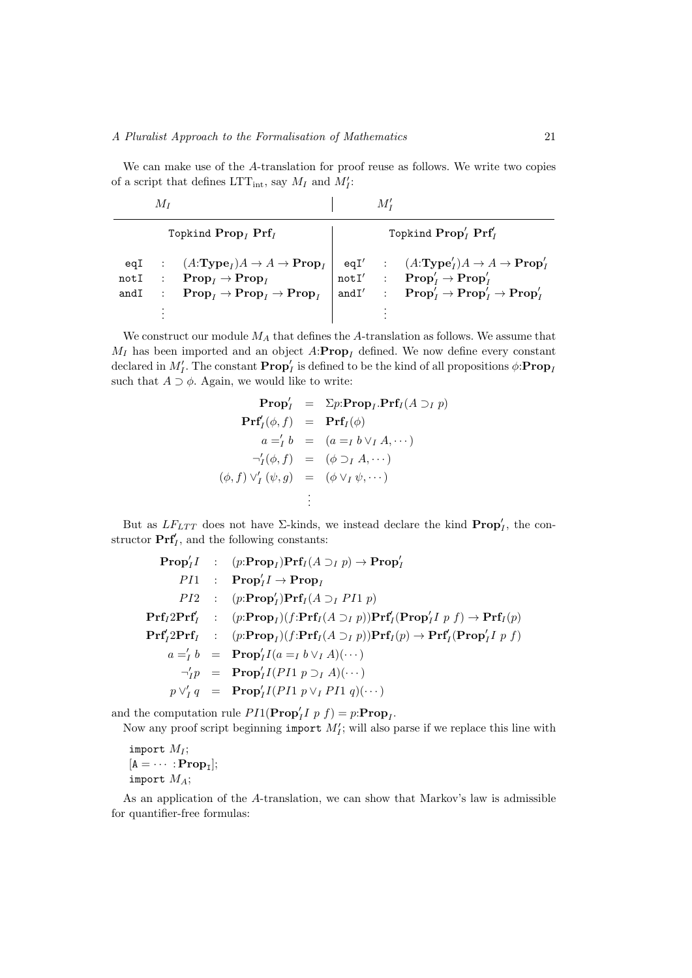We can make use of the A-translation for proof reuse as follows. We write two copies of a script that defines  $\text{LTT}_{\text{int}}$ , say  $M_I$  and  $M_I'$ :

|      |             | Topkind $\textbf{Prop}_I \textbf{Prf}_I$                                                                                                                                                                                                                         |  | Topkind $\text{Prop}'_I \text{Prf}'_I$                                                                           |
|------|-------------|------------------------------------------------------------------------------------------------------------------------------------------------------------------------------------------------------------------------------------------------------------------|--|------------------------------------------------------------------------------------------------------------------|
| notI | $\sim 1000$ | eqI : $(A:\textbf{Type}_I)A \rightarrow A \rightarrow \textbf{Prop}_I$ eqI' : $(A:\textbf{Type}_I')A \rightarrow A \rightarrow \textbf{Prop}_I'$<br>$\textbf{Prop}_I \rightarrow \textbf{Prop}_I$<br>and $I : \text{Prop}_I \to \text{Prop}_I \to \text{Prop}_I$ |  | $notI'$ : $Prop'_I \rightarrow Prop'_I$<br>and I' : $\mathbf{Prop}_I' \to \mathbf{Prop}_I' \to \mathbf{Prop}_I'$ |
|      |             |                                                                                                                                                                                                                                                                  |  |                                                                                                                  |

We construct our module  $M_A$  that defines the A-translation as follows. We assume that  $M_I$  has been imported and an object  $A:Prop_I$  defined. We now define every constant declared in  $M'_I$ . The constant  $\mathbf{Prop}'_I$  is defined to be the kind of all propositions  $\phi$ :  $\mathbf{Prop}_I$ such that  $A \supset \phi$ . Again, we would like to write:

$$
\begin{array}{rcl}\n\mathbf{Prop}_I' & = & \Sigma p \mathbf{:Prop}_I \cdot \mathbf{Prf}_I(A \supset_I p) \\
\mathbf{Prf}_I'(\phi, f) & = & \mathbf{Prf}_I(\phi) \\
a =_I' b & = & (a =_I b \lor_I A, \cdots) \\
\neg_I'(\phi, f) & = & (\phi \supset_I A, \cdots) \\
(\phi, f) \lor_I'(\psi, g) & = & (\phi \lor_I \psi, \cdots)\n\end{array}
$$

But as  $LF_{LTT}$  does not have  $\Sigma$ -kinds, we instead declare the kind  $\textbf{Prop}'_I$ , the constructor  $\mathbf{Prf}'_I$ , and the following constants:

|  | $\mathbf{Prop}_I' I$ : $(p:\mathbf{Prop}_I)\mathbf{Prf}_I(A \supset_I p) \to \mathbf{Prop}_I'$                                                                |
|--|---------------------------------------------------------------------------------------------------------------------------------------------------------------|
|  | $PI1$ : $\mathbf{Prop}_I^{\prime} I \rightarrow \mathbf{Prop}_I$                                                                                              |
|  | $PI2$ : $(p:\mathbf{Prop}_I')\mathbf{Prf}_I(A \supset_I PI1 p)$                                                                                               |
|  | $\mathbf{Prf}_I 2\mathbf{Prf}'_I : (p:\mathbf{Prop}_I)(f:\mathbf{Prf}_I(A \supset_I p))\mathbf{Prf}'_I(\mathbf{Prop}'_I I p f) \rightarrow \mathbf{Prf}_I(p)$ |
|  | $\mathbf{Prf}'_I \mathbf{Prf}_I : (p:\mathbf{Prop}_I)(f:\mathbf{Prf}_I(A \supset_I p))\mathbf{Prf}_I(p) \to \mathbf{Prf}'_I(\mathbf{Prop}'_I I p f)$          |
|  | $a ='_{I} b = \textbf{Prop}'_{I} I(a =_{I} b \vee_{I} A)(\cdots)$                                                                                             |
|  | $\neg'_I p = \textbf{Prop}'_I (PI1 p \supset_I A)(\cdots)$                                                                                                    |
|  | $p \vee_I' q = \text{Prop}_I'(PI1 p \vee_I PI1 q)(\cdots)$                                                                                                    |

and the computation rule  $PI1(\mathbf{Prop}_I' I \ p \ f) = p:\mathbf{Prop}_I$ .

Now any proof script beginning import  $M'_I$ ; will also parse if we replace this line with

import  $M_I$ ;  $[A = \cdots : \mathbf{Prop}_I];$ import  $M_A$ ;

As an application of the A-translation, we can show that Markov's law is admissible for quantifier-free formulas: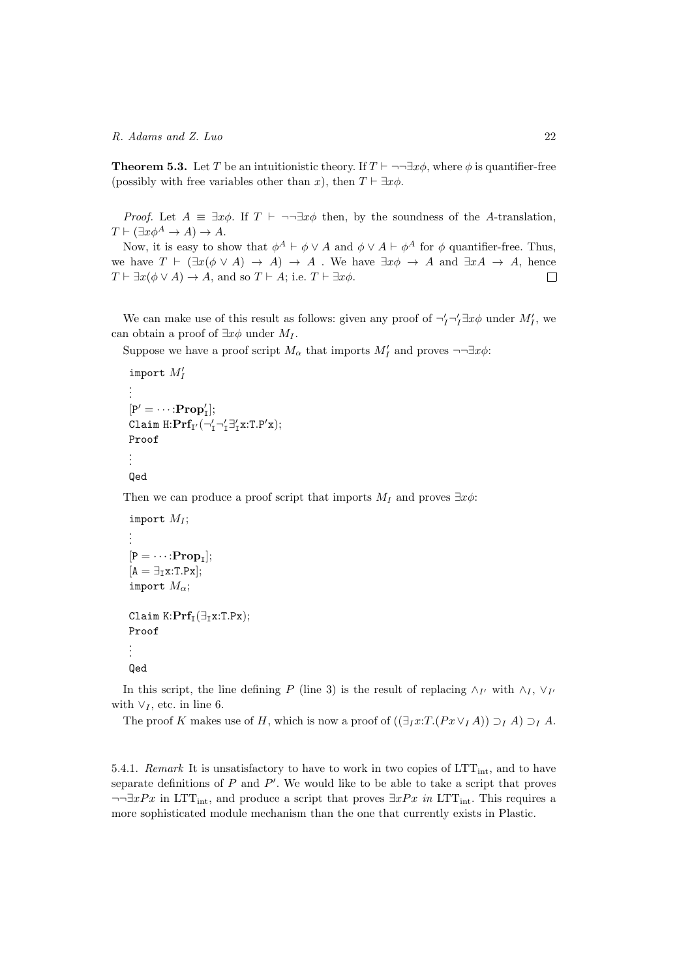**Theorem 5.3.** Let T be an intuitionistic theory. If  $T \vdash \neg \neg \exists x \phi$ , where  $\phi$  is quantifier-free (possibly with free variables other than x), then  $T \vdash \exists x \phi$ .

*Proof.* Let  $A \equiv \exists x \phi$ . If  $T \vdash \neg \neg \exists x \phi$  then, by the soundness of the A-translation,  $T \vdash (\exists x \phi^A \rightarrow A) \rightarrow A.$ 

Now, it is easy to show that  $\phi^A \vdash \phi \lor A$  and  $\phi \lor A \vdash \phi^A$  for  $\phi$  quantifier-free. Thus, we have  $T \vdash (\exists x (\phi \lor A) \rightarrow A) \rightarrow A$ . We have  $\exists x \phi \rightarrow A$  and  $\exists x A \rightarrow A$ , hence  $T \vdash \exists x (\phi \lor A) \to A$ , and so  $T \vdash A$ ; i.e.  $T \vdash \exists x \phi$ . П

We can make use of this result as follows: given any proof of  $\neg'_I \neg'_I \exists x \phi$  under  $M'_I$ , we can obtain a proof of  $\exists x \phi$  under  $M_I$ .

Suppose we have a proof script  $M_{\alpha}$  that imports  $M'_{I}$  and proves  $\neg\neg\exists x\phi$ :

```
\mathtt{import}\ M'_I.
 .
 .
 [P' = \cdots : \mathbf{Prop}'_I];Claim \operatorname{H:Prf}_{\mathbf{I}'}(\neg_{\mathbf{I}}'\neg_{\mathbf{I}}'\exists_{\mathbf{I}}' \mathbf{x}:\mathbf{T}.\mathbf{P}'\mathbf{x});Proof
 .
.
.
Qed
```
Then we can produce a proof script that imports  $M_I$  and proves  $\exists x \phi$ :

```
import M_I;
.
.
.
[P = \cdots : \mathbf{Prop}_I];[A = \exists_I x : T.Px];import M_{\alpha};
Claim K:\mathbf{Prf}_{\mathbf{I}}(\exists_{\mathbf{I}}\mathbf{x}:\mathbf{T}.\mathsf{Px});Proof
.
.
.
Qed
```
In this script, the line defining P (line 3) is the result of replacing  $\wedge_{I'}$  with  $\wedge_I$ ,  $\vee_{I'}$ with  $\vee_I$ , etc. in line 6.

The proof K makes use of H, which is now a proof of  $((\exists_I x: T.(Px \vee_I A)) \supset_I A) \supset_I A$ .

5.4.1. Remark It is unsatisfactory to have to work in two copies of  $LTT_{int}$ , and to have separate definitions of  $P$  and  $P'$ . We would like to be able to take a script that proves  $\neg\neg\exists xPx$  in LTT<sub>int</sub>, and produce a script that proves  $\exists xPx$  in LTT<sub>int</sub>. This requires a more sophisticated module mechanism than the one that currently exists in Plastic.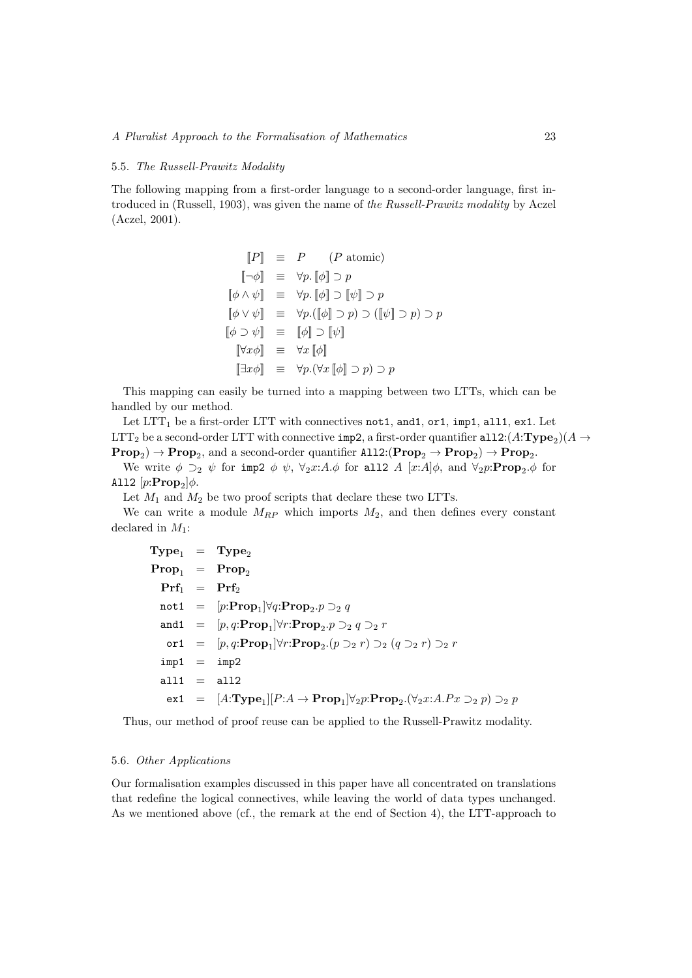## 5.5. The Russell-Prawitz Modality

The following mapping from a first-order language to a second-order language, first introduced in (Russell, 1903), was given the name of the Russell-Prawitz modality by Aczel (Aczel, 2001).

$$
\begin{array}{rcl}\n[P] & \equiv & P & (P \text{ atomic}) \\
[\neg \phi] & \equiv & \forall p. \llbracket \phi \rrbracket \supset p \\
[\phi \land \psi] & \equiv & \forall p. \llbracket \phi \rrbracket \supset p \\
[\phi \lor \psi] & \equiv & \forall p. \llbracket \phi \rrbracket \supset \psi \rrbracket \supset p \\
[\phi \lor \psi] & \equiv & \forall p. \llbracket \phi \rrbracket \supset p \supset (\llbracket \psi \rrbracket \supset p) \supset p \\
[\phi \supset \psi] & \equiv & \llbracket \phi \rrbracket \supset \llbracket \psi \rrbracket \\
[\forall x \phi] & \equiv & \forall x \llbracket \phi \rrbracket \\
[\exists x \phi] & \equiv & \forall p. (\forall x \llbracket \phi \rrbracket \supset p) \supset p\n\end{array}
$$

This mapping can easily be turned into a mapping between two LTTs, which can be handled by our method.

Let  $LTT_1$  be a first-order LTT with connectives not1, and1, or1, imp1, all1, ex1. Let  $\rm{LTT_2}$  be a second-order  $\rm{LTT}$  with connective imp2, a first-order quantifier all2:(A: $\rm{\bf Type_2}) (A \rightarrow$  $\textbf{Prop}_2 \to \textbf{Prop}_2$ , and a second-order quantifier  $\texttt{All2:}(\textbf{Prop}_2 \to \textbf{Prop}_2) \to \textbf{Prop}_2$ .

We write  $\phi \supset_2 \psi$  for imp2  $\phi \psi$ ,  $\forall_2 x$ : A. $\phi$  for all2 A [x:A] $\phi$ , and  $\forall_2 p$ :  $\text{Prop}_2$ . $\phi$  for All2  $[p:\mathbf{Prop}_2]\phi$ .

Let  $M_1$  and  $M_2$  be two proof scripts that declare these two LTTs.

We can write a module  $M_{RP}$  which imports  $M_2$ , and then defines every constant declared in  $M_1$ :

Type<sub>1</sub> = Type<sub>2</sub>  
\nProp<sub>1</sub> = Prop<sub>2</sub>  
\nPrf<sub>1</sub> = Prf<sub>2</sub>  
\nnot1 = [*p*:Prop<sub>1</sub>]
$$
\forall q
$$
:Prop<sub>2</sub>.*p*  $\supseteq q$   
\nand1 = [*p*, *q*:Prop<sub>1</sub>] $\forall r$ :Prop<sub>2</sub>.*p*  $\supseteq q$   $\supseteq r$   
\nor1 = [*p*, *q*:Prop<sub>1</sub>] $\forall r$ :Prop<sub>2</sub>.*(p*  $\supseteq q$   $\supseteq r$ )  $\supseteq r$   
\n $\text{impl} = \text{imp2}$   
\nall1 = all2  
\nex1 = [*A*:Type<sub>1</sub>][*P*:*A*  $\rightarrow$  Prop<sub>1</sub>] $\forall$ *z*:Prop<sub>2</sub>. $(\forall$ <sub>2</sub>*x*:*A*.*Px*  $\supseteqeq p$ )  $\supseteq p$ 

Thus, our method of proof reuse can be applied to the Russell-Prawitz modality.

# 5.6. Other Applications

Our formalisation examples discussed in this paper have all concentrated on translations that redefine the logical connectives, while leaving the world of data types unchanged. As we mentioned above (cf., the remark at the end of Section 4), the LTT-approach to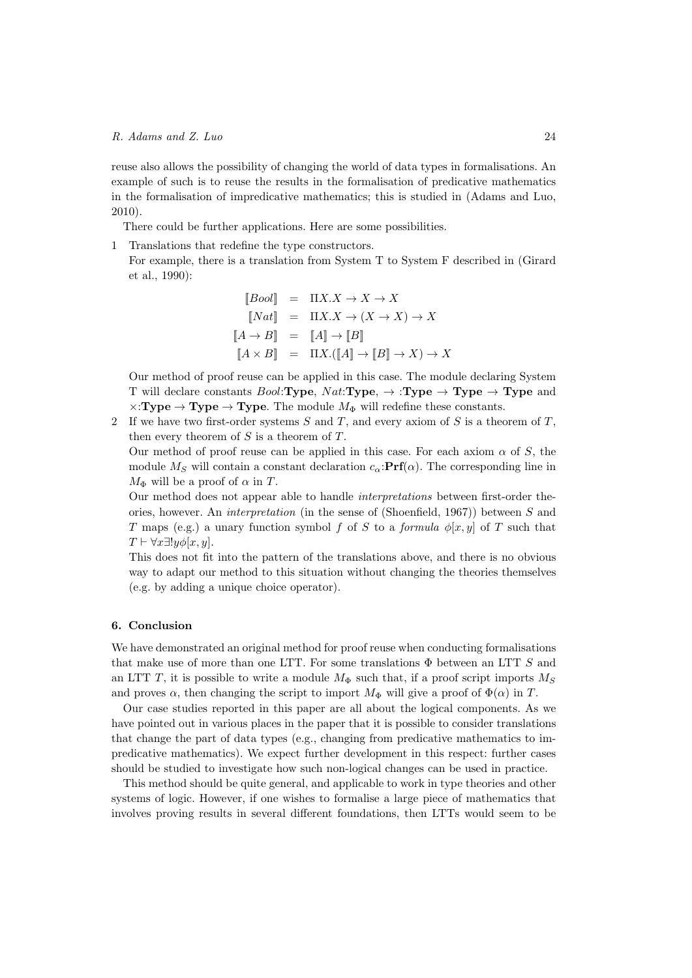reuse also allows the possibility of changing the world of data types in formalisations. An example of such is to reuse the results in the formalisation of predicative mathematics in the formalisation of impredicative mathematics; this is studied in (Adams and Luo, 2010).

There could be further applications. Here are some possibilities.

1 Translations that redefine the type constructors. For example, there is a translation from System T to System F described in (Girard et al., 1990):

$$
\begin{aligned}\n[Bool] &= \Pi X. X \to X \to X \\
[[Nat] &= \Pi X. X \to (X \to X) \to X \\
[A \to B] &= [A] \to [B] \\
[A \times B] &= \Pi X. ([A] \to [B] \to X) \to X\n\end{aligned}
$$

Our method of proof reuse can be applied in this case. The module declaring System T will declare constants  $Bool:Type$ ,  $Nat:Type \rightarrow Type \rightarrow Type \rightarrow Type$  and  $\times:\textbf{Type}\to\textbf{Type}\to\textbf{Type}.$  The module  $M_{\Phi}$  will redefine these constants.

2 If we have two first-order systems  $S$  and  $T$ , and every axiom of  $S$  is a theorem of  $T$ , then every theorem of  $S$  is a theorem of  $T$ .

Our method of proof reuse can be applied in this case. For each axiom  $\alpha$  of S, the module  $M_S$  will contain a constant declaration  $c_{\alpha}$ :**Prf**( $\alpha$ ). The corresponding line in  $M_{\Phi}$  will be a proof of  $\alpha$  in T.

Our method does not appear able to handle interpretations between first-order theories, however. An interpretation (in the sense of (Shoenfield, 1967)) between S and T maps (e.g.) a unary function symbol f of S to a formula  $\phi[x, y]$  of T such that  $T \vdash \forall x \exists ! y \phi[x, y].$ 

This does not fit into the pattern of the translations above, and there is no obvious way to adapt our method to this situation without changing the theories themselves (e.g. by adding a unique choice operator).

#### 6. Conclusion

We have demonstrated an original method for proof reuse when conducting formalisations that make use of more than one LTT. For some translations  $\Phi$  between an LTT S and an LTT T, it is possible to write a module  $M_{\Phi}$  such that, if a proof script imports  $M_S$ and proves  $\alpha$ , then changing the script to import  $M_{\Phi}$  will give a proof of  $\Phi(\alpha)$  in T.

Our case studies reported in this paper are all about the logical components. As we have pointed out in various places in the paper that it is possible to consider translations that change the part of data types (e.g., changing from predicative mathematics to impredicative mathematics). We expect further development in this respect: further cases should be studied to investigate how such non-logical changes can be used in practice.

This method should be quite general, and applicable to work in type theories and other systems of logic. However, if one wishes to formalise a large piece of mathematics that involves proving results in several different foundations, then LTTs would seem to be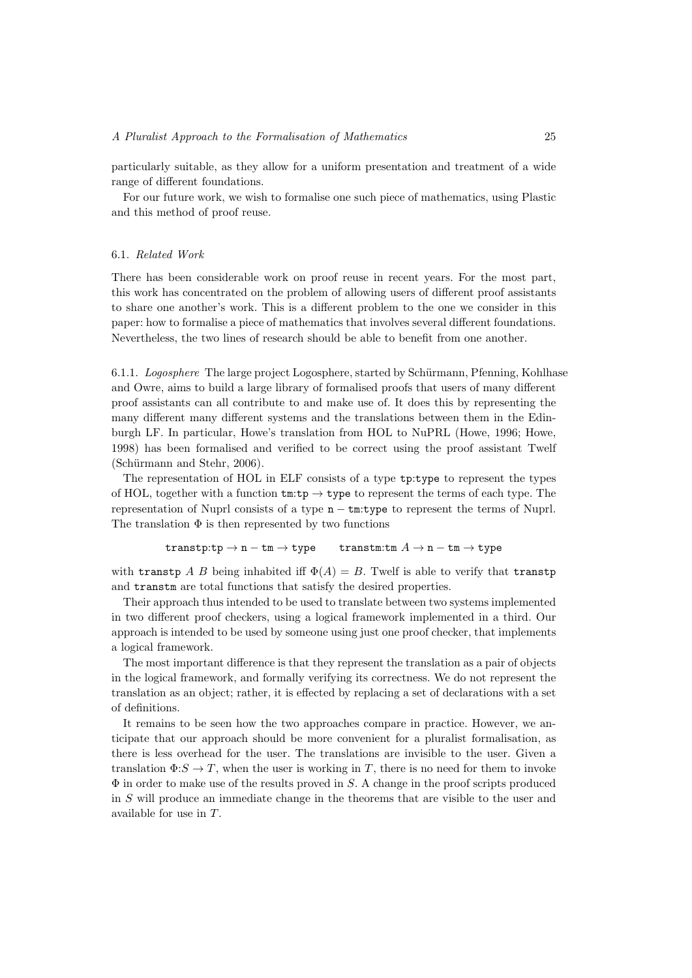particularly suitable, as they allow for a uniform presentation and treatment of a wide range of different foundations.

For our future work, we wish to formalise one such piece of mathematics, using Plastic and this method of proof reuse.

## 6.1. Related Work

There has been considerable work on proof reuse in recent years. For the most part, this work has concentrated on the problem of allowing users of different proof assistants to share one another's work. This is a different problem to the one we consider in this paper: how to formalise a piece of mathematics that involves several different foundations. Nevertheless, the two lines of research should be able to benefit from one another.

6.1.1. Logosphere The large project Logosphere, started by Schürmann, Pfenning, Kohlhase and Owre, aims to build a large library of formalised proofs that users of many different proof assistants can all contribute to and make use of. It does this by representing the many different many different systems and the translations between them in the Edinburgh LF. In particular, Howe's translation from HOL to NuPRL (Howe, 1996; Howe, 1998) has been formalised and verified to be correct using the proof assistant Twelf (Schürmann and Stehr, 2006).

The representation of HOL in ELF consists of a type tp:type to represent the types of HOL, together with a function  $\tan:tp \to type$  to represent the terms of each type. The representation of Nuprl consists of a type n − tm:type to represent the terms of Nuprl. The translation  $\Phi$  is then represented by two functions

$$
\mathtt{transtp:tp} \rightarrow \mathtt{n-tm} \rightarrow \mathtt{type} \qquad \mathtt{transtm:tm}\ A \rightarrow \mathtt{n-tm} \rightarrow \mathtt{type}
$$

with transtp A B being inhabited iff  $\Phi(A) = B$ . Twelf is able to verify that transtp and transtm are total functions that satisfy the desired properties.

Their approach thus intended to be used to translate between two systems implemented in two different proof checkers, using a logical framework implemented in a third. Our approach is intended to be used by someone using just one proof checker, that implements a logical framework.

The most important difference is that they represent the translation as a pair of objects in the logical framework, and formally verifying its correctness. We do not represent the translation as an object; rather, it is effected by replacing a set of declarations with a set of definitions.

It remains to be seen how the two approaches compare in practice. However, we anticipate that our approach should be more convenient for a pluralist formalisation, as there is less overhead for the user. The translations are invisible to the user. Given a translation  $\Phi: S \to T$ , when the user is working in T, there is no need for them to invoke  $\Phi$  in order to make use of the results proved in S. A change in the proof scripts produced in S will produce an immediate change in the theorems that are visible to the user and available for use in T.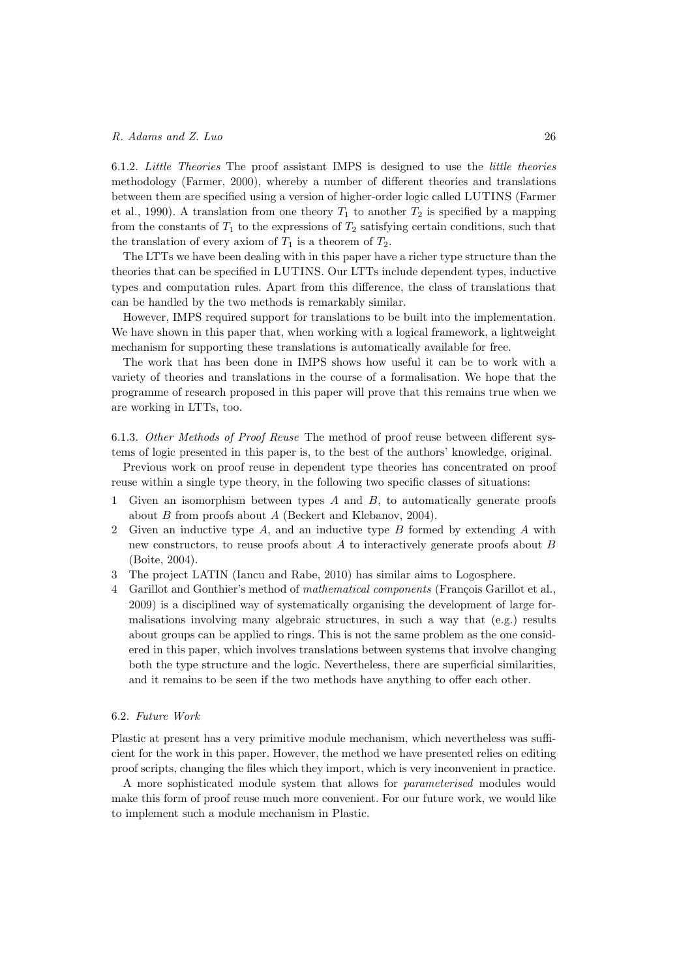6.1.2. Little Theories The proof assistant IMPS is designed to use the little theories methodology (Farmer, 2000), whereby a number of different theories and translations between them are specified using a version of higher-order logic called LUTINS (Farmer et al., 1990). A translation from one theory  $T_1$  to another  $T_2$  is specified by a mapping from the constants of  $T_1$  to the expressions of  $T_2$  satisfying certain conditions, such that the translation of every axiom of  $T_1$  is a theorem of  $T_2$ .

The LTTs we have been dealing with in this paper have a richer type structure than the theories that can be specified in LUTINS. Our LTTs include dependent types, inductive types and computation rules. Apart from this difference, the class of translations that can be handled by the two methods is remarkably similar.

However, IMPS required support for translations to be built into the implementation. We have shown in this paper that, when working with a logical framework, a lightweight mechanism for supporting these translations is automatically available for free.

The work that has been done in IMPS shows how useful it can be to work with a variety of theories and translations in the course of a formalisation. We hope that the programme of research proposed in this paper will prove that this remains true when we are working in LTTs, too.

6.1.3. Other Methods of Proof Reuse The method of proof reuse between different systems of logic presented in this paper is, to the best of the authors' knowledge, original.

Previous work on proof reuse in dependent type theories has concentrated on proof reuse within a single type theory, in the following two specific classes of situations:

- 1 Given an isomorphism between types A and B, to automatically generate proofs about B from proofs about A (Beckert and Klebanov, 2004).
- 2 Given an inductive type A, and an inductive type B formed by extending A with new constructors, to reuse proofs about A to interactively generate proofs about B (Boite, 2004).
- 3 The project LATIN (Iancu and Rabe, 2010) has similar aims to Logosphere.
- 4 Garillot and Gonthier's method of *mathematical components* (François Garillot et al., 2009) is a disciplined way of systematically organising the development of large formalisations involving many algebraic structures, in such a way that (e.g.) results about groups can be applied to rings. This is not the same problem as the one considered in this paper, which involves translations between systems that involve changing both the type structure and the logic. Nevertheless, there are superficial similarities, and it remains to be seen if the two methods have anything to offer each other.

#### 6.2. Future Work

Plastic at present has a very primitive module mechanism, which nevertheless was sufficient for the work in this paper. However, the method we have presented relies on editing proof scripts, changing the files which they import, which is very inconvenient in practice.

A more sophisticated module system that allows for parameterised modules would make this form of proof reuse much more convenient. For our future work, we would like to implement such a module mechanism in Plastic.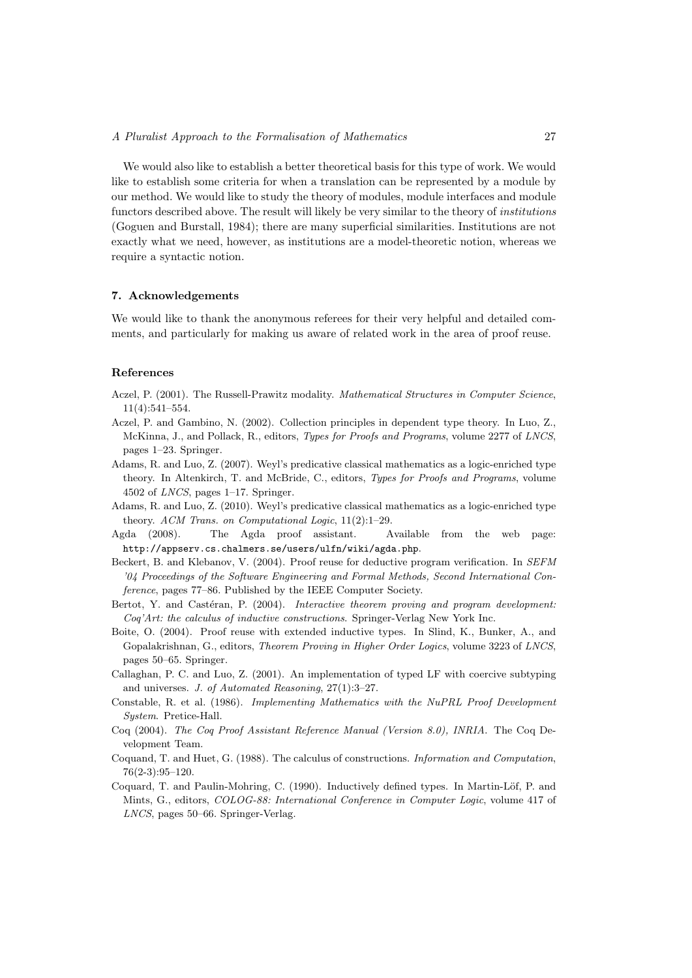We would also like to establish a better theoretical basis for this type of work. We would like to establish some criteria for when a translation can be represented by a module by our method. We would like to study the theory of modules, module interfaces and module functors described above. The result will likely be very similar to the theory of institutions (Goguen and Burstall, 1984); there are many superficial similarities. Institutions are not exactly what we need, however, as institutions are a model-theoretic notion, whereas we require a syntactic notion.

#### 7. Acknowledgements

We would like to thank the anonymous referees for their very helpful and detailed comments, and particularly for making us aware of related work in the area of proof reuse.

## References

- Aczel, P. (2001). The Russell-Prawitz modality. Mathematical Structures in Computer Science, 11(4):541–554.
- Aczel, P. and Gambino, N. (2002). Collection principles in dependent type theory. In Luo, Z., McKinna, J., and Pollack, R., editors, Types for Proofs and Programs, volume 2277 of LNCS, pages 1–23. Springer.
- Adams, R. and Luo, Z. (2007). Weyl's predicative classical mathematics as a logic-enriched type theory. In Altenkirch, T. and McBride, C., editors, Types for Proofs and Programs, volume 4502 of LNCS, pages 1–17. Springer.
- Adams, R. and Luo, Z. (2010). Weyl's predicative classical mathematics as a logic-enriched type theory. ACM Trans. on Computational Logic, 11(2):1–29.
- Agda (2008). The Agda proof assistant. Available from the web page: http://appserv.cs.chalmers.se/users/ulfn/wiki/agda.php.
- Beckert, B. and Klebanov, V. (2004). Proof reuse for deductive program verification. In SEFM '04 Proceedings of the Software Engineering and Formal Methods, Second International Conference, pages 77–86. Published by the IEEE Computer Society.
- Bertot, Y. and Castéran, P. (2004). Interactive theorem proving and program development: Coq'Art: the calculus of inductive constructions. Springer-Verlag New York Inc.
- Boite, O. (2004). Proof reuse with extended inductive types. In Slind, K., Bunker, A., and Gopalakrishnan, G., editors, Theorem Proving in Higher Order Logics, volume 3223 of LNCS, pages 50–65. Springer.
- Callaghan, P. C. and Luo, Z. (2001). An implementation of typed LF with coercive subtyping and universes. J. of Automated Reasoning, 27(1):3–27.
- Constable, R. et al. (1986). Implementing Mathematics with the NuPRL Proof Development System. Pretice-Hall.
- Coq (2004). The Coq Proof Assistant Reference Manual (Version 8.0), INRIA. The Coq Development Team.
- Coquand, T. and Huet, G. (1988). The calculus of constructions. Information and Computation, 76(2-3):95–120.
- Coquard, T. and Paulin-Mohring, C. (1990). Inductively defined types. In Martin-Löf, P. and Mints, G., editors, COLOG-88: International Conference in Computer Logic, volume 417 of LNCS, pages 50–66. Springer-Verlag.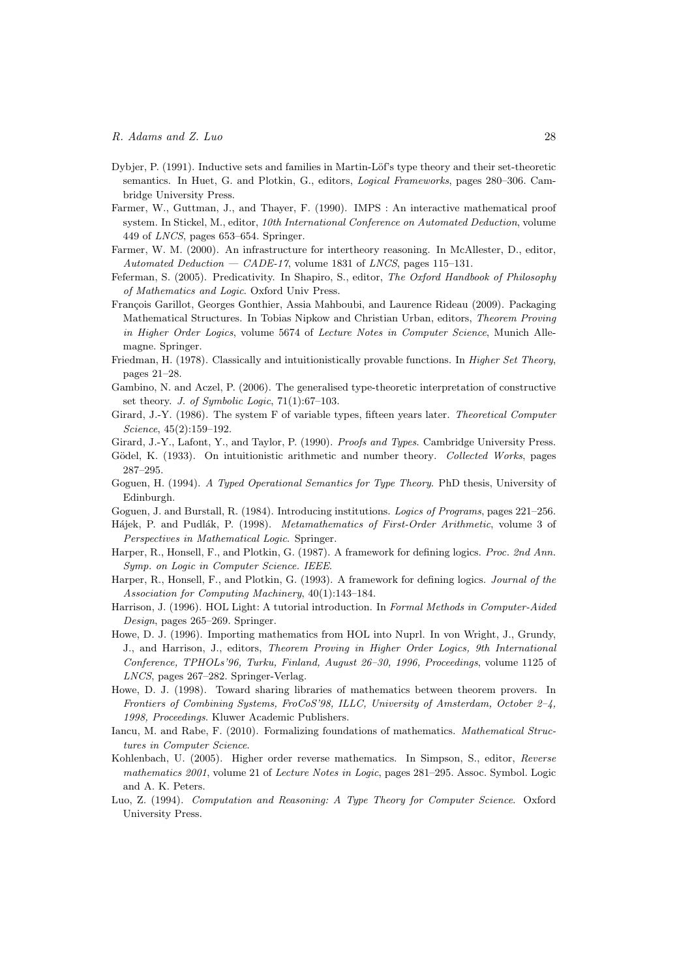- Dybjer, P. (1991). Inductive sets and families in Martin-Löf's type theory and their set-theoretic semantics. In Huet, G. and Plotkin, G., editors, Logical Frameworks, pages 280–306. Cambridge University Press.
- Farmer, W., Guttman, J., and Thayer, F. (1990). IMPS : An interactive mathematical proof system. In Stickel, M., editor, 10th International Conference on Automated Deduction, volume 449 of LNCS, pages 653–654. Springer.
- Farmer, W. M. (2000). An infrastructure for intertheory reasoning. In McAllester, D., editor, Automated Deduction — CADE-17, volume 1831 of LNCS, pages 115–131.
- Feferman, S. (2005). Predicativity. In Shapiro, S., editor, The Oxford Handbook of Philosophy of Mathematics and Logic. Oxford Univ Press.
- François Garillot, Georges Gonthier, Assia Mahboubi, and Laurence Rideau (2009). Packaging Mathematical Structures. In Tobias Nipkow and Christian Urban, editors, Theorem Proving in Higher Order Logics, volume 5674 of Lecture Notes in Computer Science, Munich Allemagne. Springer.
- Friedman, H. (1978). Classically and intuitionistically provable functions. In Higher Set Theory, pages 21–28.
- Gambino, N. and Aczel, P. (2006). The generalised type-theoretic interpretation of constructive set theory. J. of Symbolic Logic, 71(1):67–103.
- Girard, J.-Y. (1986). The system F of variable types, fifteen years later. Theoretical Computer Science, 45(2):159–192.
- Girard, J.-Y., Lafont, Y., and Taylor, P. (1990). Proofs and Types. Cambridge University Press.
- Gödel, K. (1933). On intuitionistic arithmetic and number theory. Collected Works, pages 287–295.
- Goguen, H. (1994). A Typed Operational Semantics for Type Theory. PhD thesis, University of Edinburgh.
- Goguen, J. and Burstall, R. (1984). Introducing institutions. Logics of Programs, pages 221–256.
- Hájek, P. and Pudlák, P. (1998). Metamathematics of First-Order Arithmetic, volume 3 of Perspectives in Mathematical Logic. Springer.
- Harper, R., Honsell, F., and Plotkin, G. (1987). A framework for defining logics. Proc. 2nd Ann. Symp. on Logic in Computer Science. IEEE.
- Harper, R., Honsell, F., and Plotkin, G. (1993). A framework for defining logics. Journal of the Association for Computing Machinery, 40(1):143–184.
- Harrison, J. (1996). HOL Light: A tutorial introduction. In Formal Methods in Computer-Aided Design, pages 265–269. Springer.
- Howe, D. J. (1996). Importing mathematics from HOL into Nuprl. In von Wright, J., Grundy, J., and Harrison, J., editors, Theorem Proving in Higher Order Logics, 9th International Conference, TPHOLs'96, Turku, Finland, August 26–30, 1996, Proceedings, volume 1125 of LNCS, pages 267–282. Springer-Verlag.
- Howe, D. J. (1998). Toward sharing libraries of mathematics between theorem provers. In Frontiers of Combining Systems, FroCoS'98, ILLC, University of Amsterdam, October 2–4, 1998, Proceedings. Kluwer Academic Publishers.
- Iancu, M. and Rabe, F. (2010). Formalizing foundations of mathematics. Mathematical Structures in Computer Science.
- Kohlenbach, U. (2005). Higher order reverse mathematics. In Simpson, S., editor, Reverse mathematics 2001, volume 21 of Lecture Notes in Logic, pages 281–295. Assoc. Symbol. Logic and A. K. Peters.
- Luo, Z. (1994). Computation and Reasoning: A Type Theory for Computer Science. Oxford University Press.